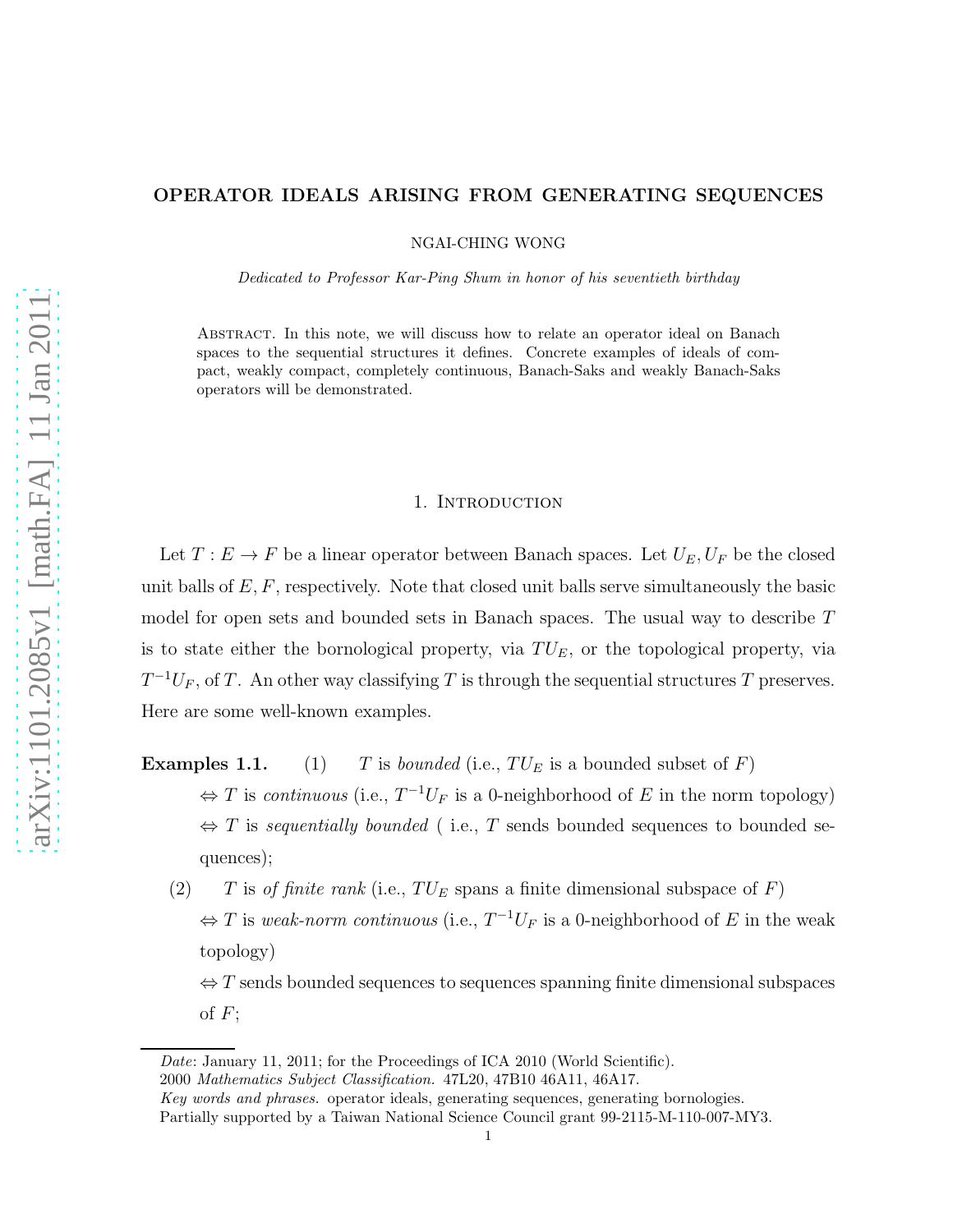# OPERATOR IDEALS ARISING FROM GENERATING SEQUENCES

NGAI-CHING WONG

Dedicated to Professor Kar-Ping Shum in honor of his seventieth birthday

Abstract. In this note, we will discuss how to relate an operator ideal on Banach spaces to the sequential structures it defines. Concrete examples of ideals of compact, weakly compact, completely continuous, Banach-Saks and weakly Banach-Saks operators will be demonstrated.

## 1. INTRODUCTION

Let  $T : E \to F$  be a linear operator between Banach spaces. Let  $U_E, U_F$  be the closed unit balls of  $E, F$ , respectively. Note that closed unit balls serve simultaneously the basic model for open sets and bounded sets in Banach spaces. The usual way to describe T is to state either the bornological property, via  $TU_E$ , or the topological property, via  $T^{-1}U_F$ , of T. An other way classifying T is through the sequential structures T preserves. Here are some well-known examples.

**Examples 1.1.** (1) T is *bounded* (i.e.,  $TU_E$  is a bounded subset of F)

- $\Leftrightarrow$  T is continuous (i.e.,  $T^{-1}U_F$  is a 0-neighborhood of E in the norm topology)  $\Leftrightarrow$  T is sequentially bounded (i.e., T sends bounded sequences to bounded sequences);
- (2) T is of finite rank (i.e.,  $TU_E$  spans a finite dimensional subspace of F)  $\Leftrightarrow$  T is weak-norm continuous (i.e.,  $T^{-1}U_F$  is a 0-neighborhood of E in the weak topology)

 $\Leftrightarrow$  T sends bounded sequences to sequences spanning finite dimensional subspaces of  $F$ ;

2000 Mathematics Subject Classification. 47L20, 47B10 46A11, 46A17.

Date: January 11, 2011; for the Proceedings of ICA 2010 (World Scientific).

Key words and phrases. operator ideals, generating sequences, generating bornologies.

Partially supported by a Taiwan National Science Council grant 99-2115-M-110-007-MY3.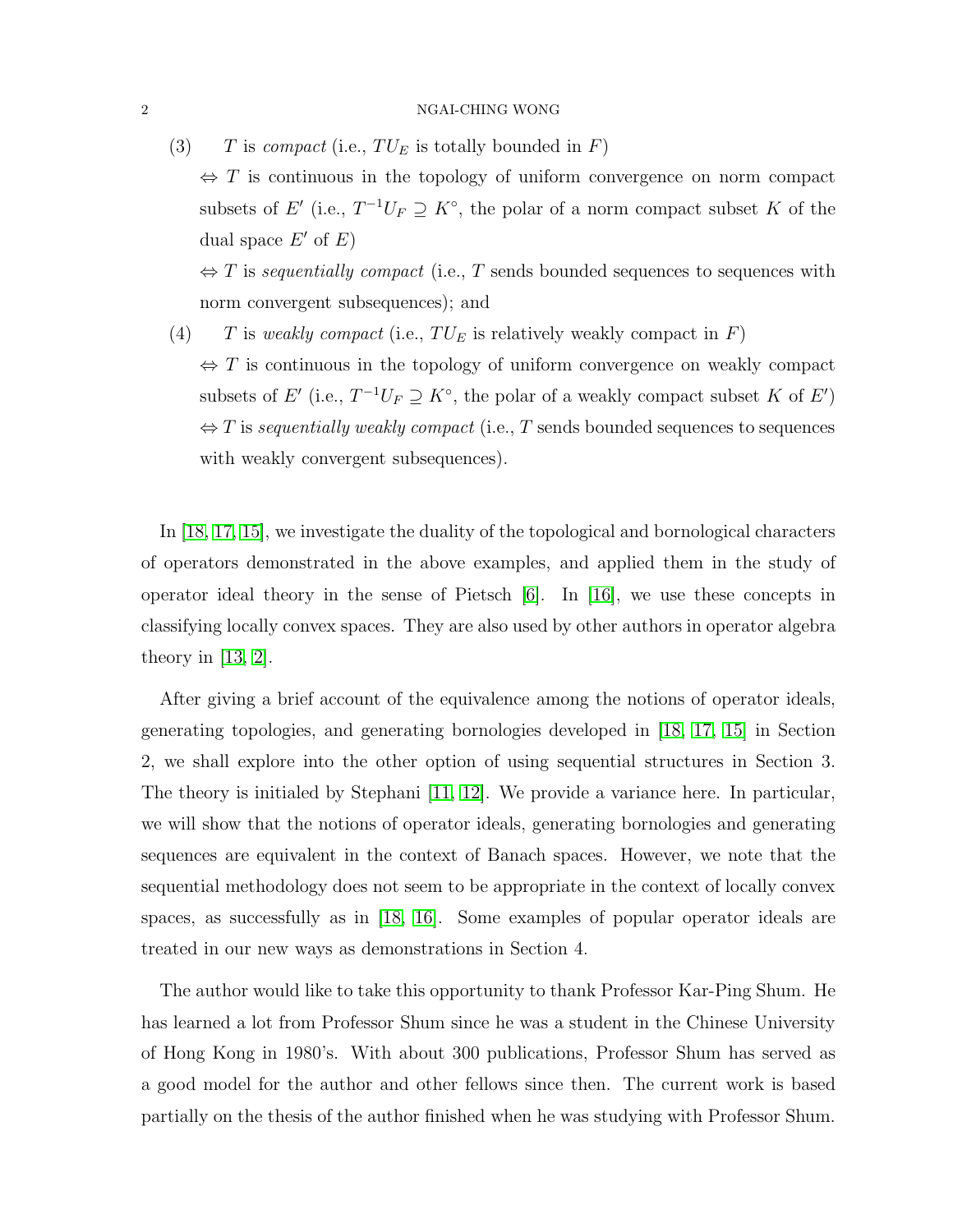(3) T is compact (i.e.,  $TU_E$  is totally bounded in F)

 $\Leftrightarrow$  T is continuous in the topology of uniform convergence on norm compact subsets of E' (i.e.,  $T^{-1}U_F \supseteq K^{\circ}$ , the polar of a norm compact subset K of the dual space  $E'$  of  $E$ )

 $\Leftrightarrow$  T is sequentially compact (i.e., T sends bounded sequences to sequences with norm convergent subsequences); and

(4) T is weakly compact (i.e.,  $TU_E$  is relatively weakly compact in F)  $\Leftrightarrow$  T is continuous in the topology of uniform convergence on weakly compact subsets of E' (i.e.,  $T^{-1}U_F \supseteq K^{\circ}$ , the polar of a weakly compact subset K of E')  $\Leftrightarrow$  T is sequentially weakly compact (i.e., T sends bounded sequences to sequences with weakly convergent subsequences).

In [\[18,](#page-16-0) [17,](#page-16-1) [15\]](#page-15-0), we investigate the duality of the topological and bornological characters of operators demonstrated in the above examples, and applied them in the study of operator ideal theory in the sense of Pietsch  $[6]$ . In  $[16]$ , we use these concepts in classifying locally convex spaces. They are also used by other authors in operator algebra theory in  $[13, 2]$  $[13, 2]$ .

After giving a brief account of the equivalence among the notions of operator ideals, generating topologies, and generating bornologies developed in [\[18,](#page-16-0) [17,](#page-16-1) [15\]](#page-15-0) in Section 2, we shall explore into the other option of using sequential structures in Section 3. The theory is initialed by Stephani [\[11,](#page-15-4) [12\]](#page-15-5). We provide a variance here. In particular, we will show that the notions of operator ideals, generating bornologies and generating sequences are equivalent in the context of Banach spaces. However, we note that the sequential methodology does not seem to be appropriate in the context of locally convex spaces, as successfully as in [\[18,](#page-16-0) [16\]](#page-16-2). Some examples of popular operator ideals are treated in our new ways as demonstrations in Section 4.

The author would like to take this opportunity to thank Professor Kar-Ping Shum. He has learned a lot from Professor Shum since he was a student in the Chinese University of Hong Kong in 1980's. With about 300 publications, Professor Shum has served as a good model for the author and other fellows since then. The current work is based partially on the thesis of the author finished when he was studying with Professor Shum.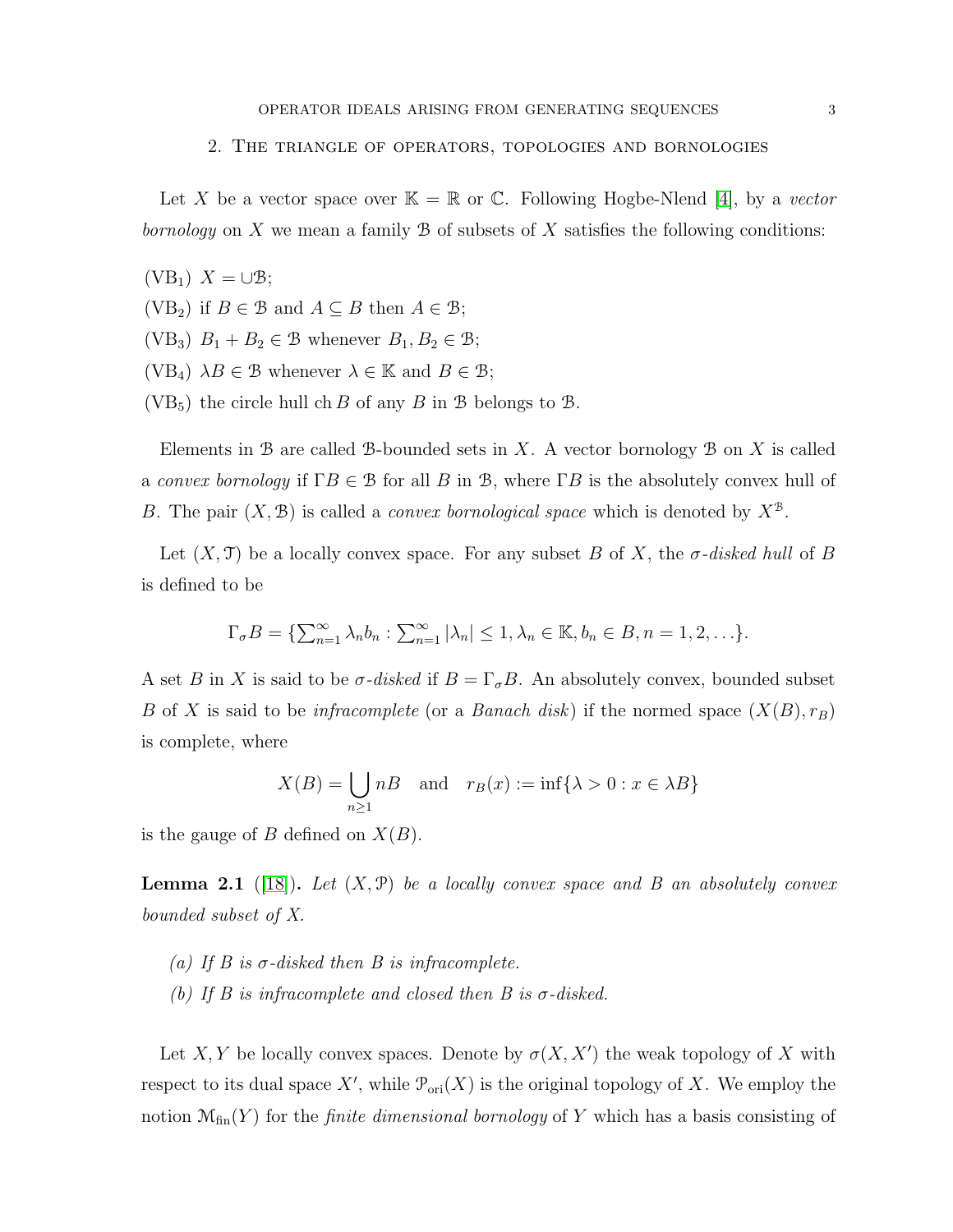### 2. The triangle of operators, topologies and bornologies

Let X be a vector space over  $\mathbb{K} = \mathbb{R}$  or C. Following Hogbe-Nlend [\[4\]](#page-15-6), by a vector bornology on  $X$  we mean a family  $\mathcal B$  of subsets of  $X$  satisfies the following conditions:

- $(VB_1)$   $X = \cup \mathcal{B}$ ;
- (VB<sub>2</sub>) if  $B \in \mathcal{B}$  and  $A \subseteq B$  then  $A \in \mathcal{B}$ ;
- (VB<sub>3</sub>)  $B_1 + B_2 \in \mathcal{B}$  whenever  $B_1, B_2 \in \mathcal{B}$ ;
- (VB<sub>4</sub>)  $\lambda B \in \mathcal{B}$  whenever  $\lambda \in \mathbb{K}$  and  $B \in \mathcal{B}$ ;
- (VB<sub>5</sub>) the circle hull ch B of any B in B belongs to B.

Elements in B are called B-bounded sets in X. A vector bornology B on X is called a convex bornology if  $\Gamma B \in \mathcal{B}$  for all B in B, where  $\Gamma B$  is the absolutely convex hull of B. The pair  $(X, \mathcal{B})$  is called a *convex bornological space* which is denoted by  $X^{\mathcal{B}}$ .

Let  $(X, \mathcal{T})$  be a locally convex space. For any subset B of X, the  $\sigma$ -disked hull of B is defined to be

$$
\Gamma_{\sigma}B = \{ \sum_{n=1}^{\infty} \lambda_n b_n : \sum_{n=1}^{\infty} |\lambda_n| \leq 1, \lambda_n \in \mathbb{K}, b_n \in B, n = 1, 2, \ldots \}.
$$

A set B in X is said to be  $\sigma$ -disked if  $B = \Gamma_{\sigma} B$ . An absolutely convex, bounded subset B of X is said to be *infracomplete* (or a *Banach disk*) if the normed space  $(X(B), r_B)$ is complete, where

$$
X(B) = \bigcup_{n \ge 1} nB \quad \text{and} \quad r_B(x) := \inf\{\lambda > 0 : x \in \lambda B\}
$$

is the gauge of B defined on  $X(B)$ .

**Lemma 2.1** ([\[18\]](#page-16-0)). Let  $(X, \mathcal{P})$  be a locally convex space and B an absolutely convex bounded subset of X.

- (a) If B is  $\sigma$ -disked then B is infracomplete.
- (b) If B is infracomplete and closed then B is  $\sigma$ -disked.

Let X, Y be locally convex spaces. Denote by  $\sigma(X, X')$  the weak topology of X with respect to its dual space X', while  $\mathcal{P}_{ori}(X)$  is the original topology of X. We employ the notion  $\mathcal{M}_{fin}(Y)$  for the *finite dimensional bornology* of Y which has a basis consisting of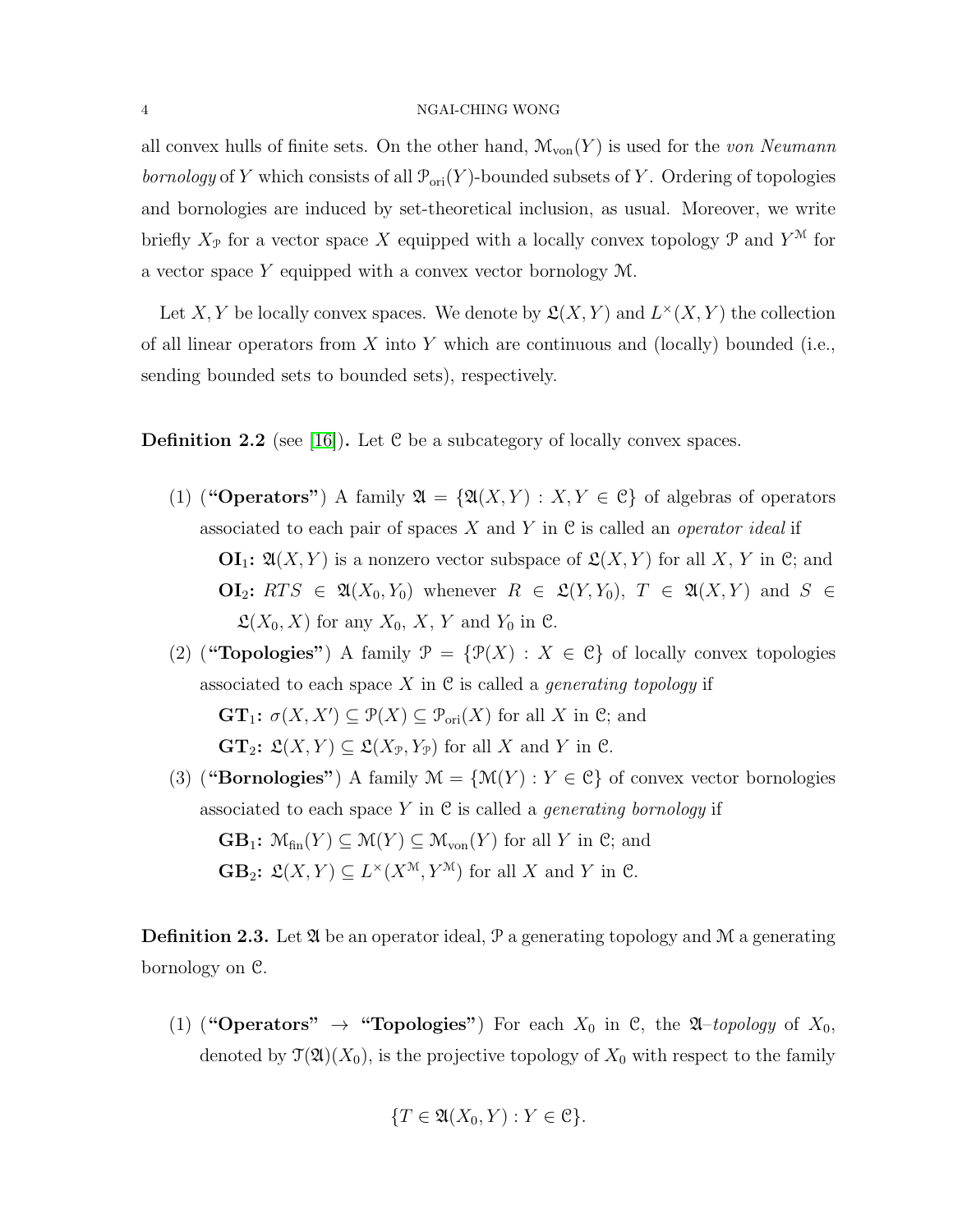all convex hulls of finite sets. On the other hand,  $\mathcal{M}_{\text{von}}(Y)$  is used for the von Neumann *bornology* of Y which consists of all  $\mathcal{P}_{ori}(Y)$ -bounded subsets of Y. Ordering of topologies and bornologies are induced by set-theoretical inclusion, as usual. Moreover, we write briefly  $X_{\mathcal{P}}$  for a vector space X equipped with a locally convex topology  $\mathcal{P}$  and  $Y^{\mathcal{M}}$  for a vector space Y equipped with a convex vector bornology M.

Let X, Y be locally convex spaces. We denote by  $\mathfrak{L}(X,Y)$  and  $L^{\times}(X,Y)$  the collection of all linear operators from X into Y which are continuous and (locally) bounded (i.e., sending bounded sets to bounded sets), respectively.

**Definition 2.2** (see [\[16\]](#page-16-2)). Let  $C$  be a subcategory of locally convex spaces.

- (1) ("Operators") A family  $\mathfrak{A} = {\mathfrak{A}(X,Y) : X,Y \in \mathcal{C}}$  of algebras of operators associated to each pair of spaces X and Y in  $\mathfrak C$  is called an *operator ideal* if  $\mathbf{O} \mathbf{I}_1$ :  $\mathfrak{A}(X, Y)$  is a nonzero vector subspace of  $\mathfrak{L}(X, Y)$  for all X, Y in C; and  $\mathbf{OI}_2$ :  $RTS \in \mathfrak{A}(X_0, Y_0)$  whenever  $R \in \mathfrak{L}(Y, Y_0), T \in \mathfrak{A}(X, Y)$  and  $S \in$  $\mathfrak{L}(X_0, X)$  for any  $X_0, X, Y$  and  $Y_0$  in  $\mathfrak{C}$ .
- (2) ("**Topologies**") A family  $\mathcal{P} = {\{\mathcal{P}(X) : X \in \mathcal{C}\}}$  of locally convex topologies associated to each space X in  $\mathfrak C$  is called a *generating topology* if  $\mathbf{GT}_1$ :  $\sigma(X, X') \subseteq \mathcal{P}(X) \subseteq \mathcal{P}_{\text{ori}}(X)$  for all X in C; and  $\mathbf{GT}_2$ :  $\mathfrak{L}(X, Y) \subseteq \mathfrak{L}(X_{\mathcal{P}}, Y_{\mathcal{P}})$  for all X and Y in C.
- (3) ("Bornologies") A family  $\mathcal{M} = \{\mathcal{M}(Y) : Y \in \mathcal{C}\}\$  of convex vector bornologies associated to each space Y in  $\mathfrak C$  is called a *generating bornology* if  $\mathbf{GB}_1$ :  $\mathcal{M}_{fin}(Y) \subseteq \mathcal{M}(Y) \subseteq \mathcal{M}_{von}(Y)$  for all Y in C; and **GB**<sub>2</sub>:  $\mathfrak{L}(X, Y) \subseteq L^{\times}(X^{\mathfrak{M}}, Y^{\mathfrak{M}})$  for all X and Y in C.

<span id="page-3-0"></span>**Definition 2.3.** Let  $\mathfrak{A}$  be an operator ideal,  $\mathfrak{P}$  a generating topology and M a generating bornology on C.

(1) ("Operators"  $\rightarrow$  "Topologies") For each  $X_0$  in C, the  $\mathfrak{A}-topology$  of  $X_0$ , denoted by  $\mathfrak{T}(\mathfrak{A})(X_0)$ , is the projective topology of  $X_0$  with respect to the family

$$
\{T \in \mathfrak{A}(X_0, Y) : Y \in \mathfrak{C}\}.
$$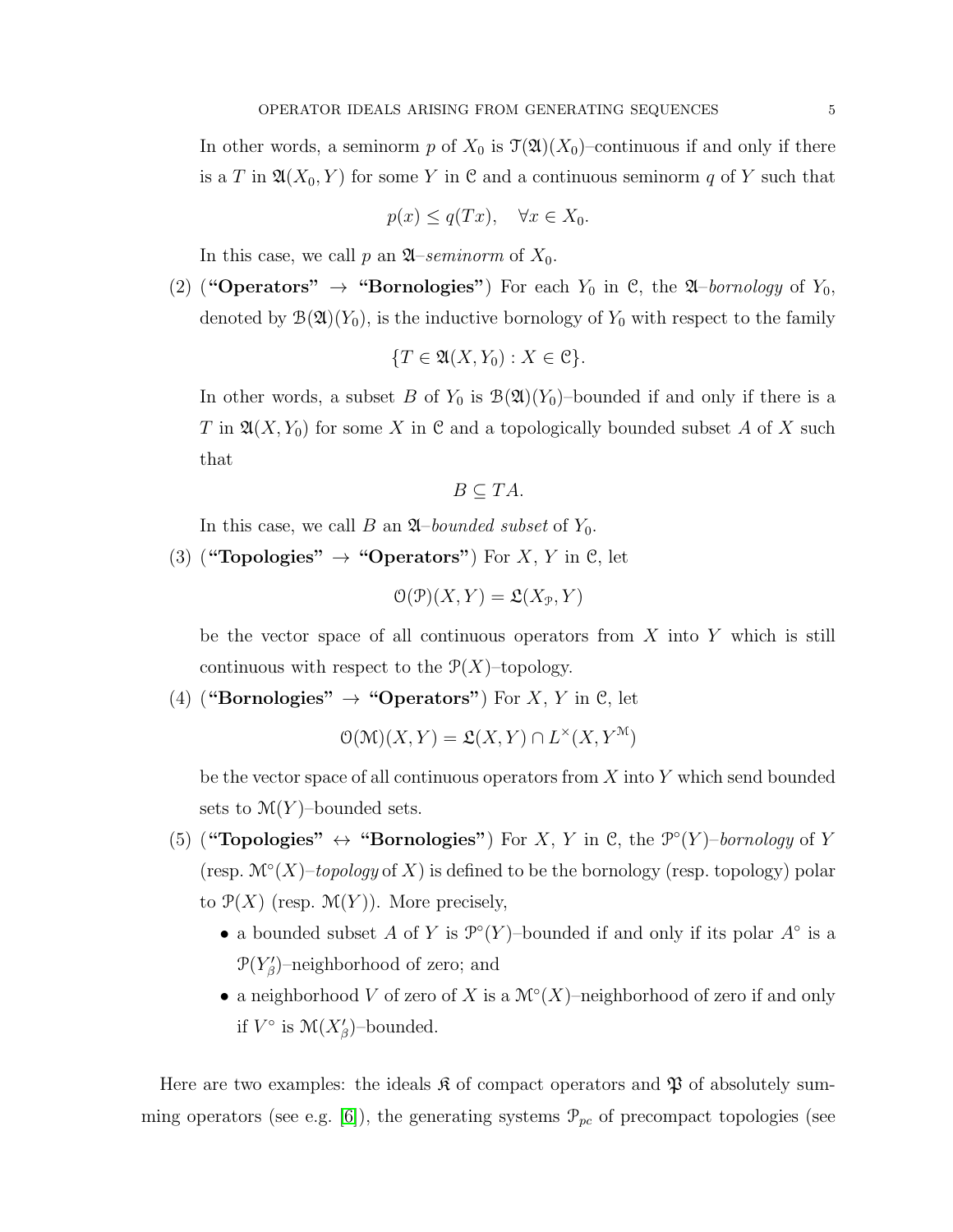In other words, a seminorm p of  $X_0$  is  $\mathcal{T}(\mathfrak{A})(X_0)$ –continuous if and only if there is a T in  $\mathfrak{A}(X_0, Y)$  for some Y in C and a continuous seminorm q of Y such that

$$
p(x) \le q(Tx), \quad \forall x \in X_0.
$$

In this case, we call p an  $\mathfrak{A}$ –seminorm of  $X_0$ .

(2) ("Operators"  $\rightarrow$  "Bornologies") For each  $Y_0$  in C, the  $\mathfrak{A}$ –bornology of  $Y_0$ , denoted by  $\mathcal{B}(\mathfrak{A})(Y_0)$ , is the inductive bornology of  $Y_0$  with respect to the family

$$
\{T \in \mathfrak{A}(X, Y_0) : X \in \mathfrak{C}\}.
$$

In other words, a subset B of  $Y_0$  is  $\mathcal{B}(\mathfrak{A})(Y_0)$ -bounded if and only if there is a T in  $\mathfrak{A}(X, Y_0)$  for some X in C and a topologically bounded subset A of X such that

$$
B \subseteq TA.
$$

In this case, we call B an  $\mathfrak{A}$ –bounded subset of  $Y_0$ .

(3) ("Topologies"  $\rightarrow$  "Operators") For X, Y in C, let

$$
\mathcal{O}(\mathcal{P})(X, Y) = \mathfrak{L}(X_{\mathcal{P}}, Y)
$$

be the vector space of all continuous operators from  $X$  into  $Y$  which is still continuous with respect to the  $P(X)$ –topology.

(4) ("Bornologies"  $\rightarrow$  "Operators") For X, Y in C, let

$$
\mathcal{O}(\mathcal{M})(X, Y) = \mathfrak{L}(X, Y) \cap L^{\times}(X, Y^{\mathcal{M}})
$$

be the vector space of all continuous operators from  $X$  into  $Y$  which send bounded sets to  $\mathcal{M}(Y)$ -bounded sets.

- (5) ("Topologies"  $\leftrightarrow$  "Bornologies") For X, Y in C, the  $\mathcal{P}^{\circ}(Y)$ -bornology of Y (resp.  $\mathcal{M}^\circ(X)$ -topology of X) is defined to be the bornology (resp. topology) polar to  $\mathcal{P}(X)$  (resp.  $\mathcal{M}(Y)$ ). More precisely,
	- a bounded subset A of Y is  $\mathcal{P}^{\circ}(Y)$ -bounded if and only if its polar  $A^{\circ}$  is a  $\mathcal{P}(Y_{\beta}')$ -neighborhood of zero; and
	- a neighborhood V of zero of X is a  $\mathcal{M}^\circ(X)$ -neighborhood of zero if and only if  $V^{\circ}$  is  $\mathcal{M}(X^{\prime}_{\beta})$ -bounded.

Here are two examples: the ideals  $\mathfrak{K}$  of compact operators and  $\mathfrak{P}$  of absolutely sum-ming operators (see e.g. [\[6\]](#page-15-1)), the generating systems  $\mathcal{P}_{pc}$  of precompact topologies (see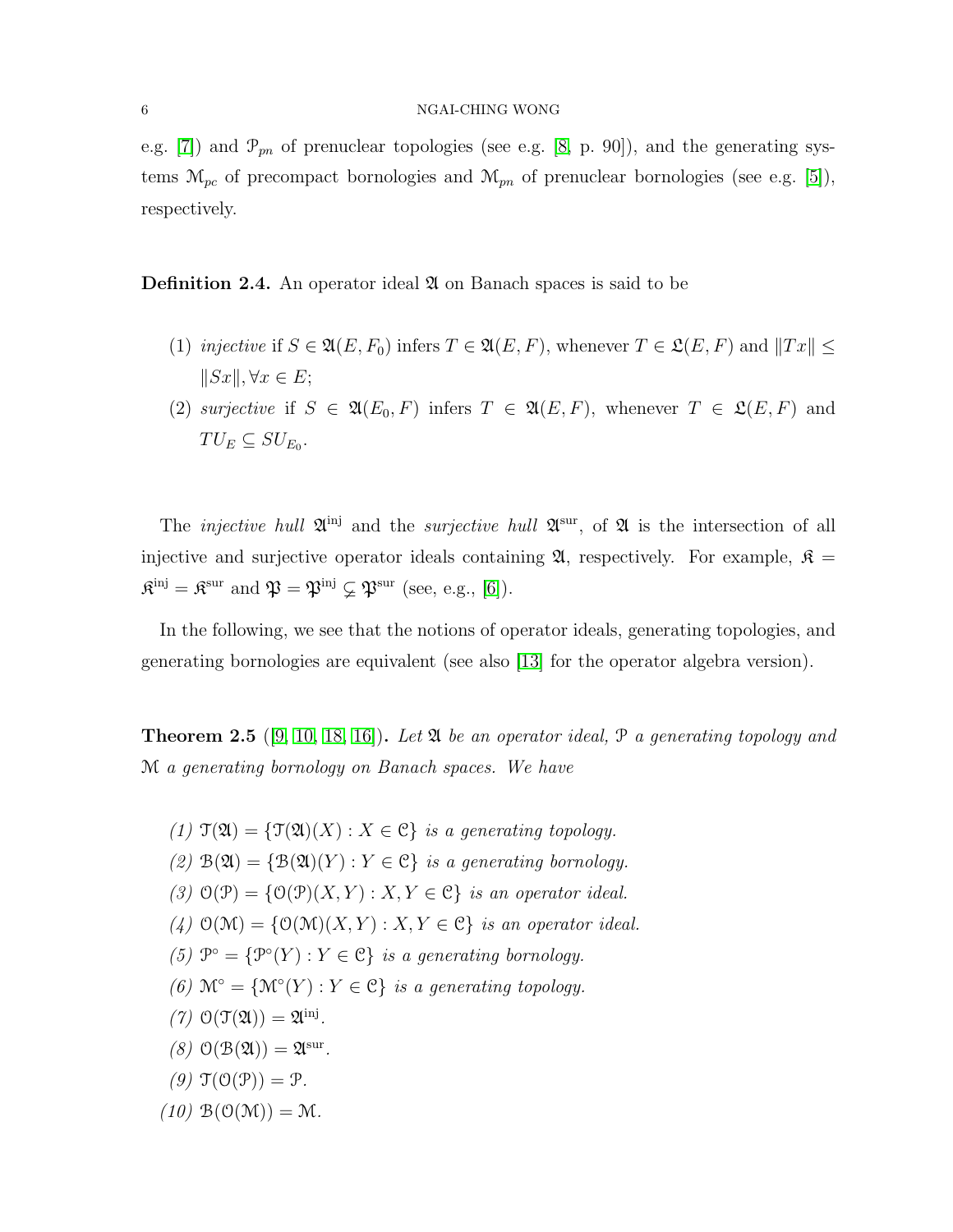e.g. [\[7\]](#page-15-7)) and  $\mathcal{P}_{pn}$  of prenuclear topologies (see e.g. [\[8,](#page-15-8) p. 90]), and the generating systems  $\mathcal{M}_{pc}$  of precompact bornologies and  $\mathcal{M}_{pn}$  of prenuclear bornologies (see e.g. [\[5\]](#page-15-9)), respectively.

**Definition 2.4.** An operator ideal  $\mathfrak{A}$  on Banach spaces is said to be

- (1) injective if  $S \in \mathfrak{A}(E, F_0)$  infers  $T \in \mathfrak{A}(E, F)$ , whenever  $T \in \mathfrak{L}(E, F)$  and  $||Tx|| \leq$  $||Sx||, \forall x \in E;$
- (2) surjective if  $S \in \mathfrak{A}(E_0, F)$  infers  $T \in \mathfrak{A}(E, F)$ , whenever  $T \in \mathfrak{L}(E, F)$  and  $TU_E \subseteq SU_{E_0}.$

The *injective hull*  $\mathfrak{A}^{\text{inj}}$  and the *surjective hull*  $\mathfrak{A}^{\text{sur}}$ , of  $\mathfrak{A}$  is the intersection of all injective and surjective operator ideals containing  $\mathfrak{A}$ , respectively. For example,  $\mathfrak{K} =$  $\mathfrak{K}^{\text{inj}} = \mathfrak{K}^{\text{sur}}$  and  $\mathfrak{P} = \mathfrak{P}^{\text{inj}} \subsetneq \mathfrak{P}^{\text{sur}}$  (see, e.g., [\[6\]](#page-15-1)).

In the following, we see that the notions of operator ideals, generating topologies, and generating bornologies are equivalent (see also [\[13\]](#page-15-2) for the operator algebra version).

**Theorem 2.5** ([\[9,](#page-15-10) [10,](#page-15-11) [18,](#page-16-0) [16\]](#page-16-2)). Let  $\mathfrak A$  be an operator ideal,  $\mathfrak P$  a generating topology and M a generating bornology on Banach spaces. We have

- (1)  $\mathfrak{T}(\mathfrak{A}) = {\mathfrak{T}(\mathfrak{A})(X) : X \in \mathcal{C}}$  is a generating topology.
- (2)  $\mathcal{B}(\mathfrak{A}) = \{ \mathcal{B}(\mathfrak{A})(Y) : Y \in \mathcal{C} \}$  is a generating bornology.
- (3)  $\mathcal{O}(\mathcal{P}) = \{ \mathcal{O}(\mathcal{P})(X, Y) : X, Y \in \mathcal{C} \}$  is an operator ideal.
- (4)  $\mathcal{O}(\mathcal{M}) = \{ \mathcal{O}(\mathcal{M})(X, Y) : X, Y \in \mathcal{C} \}$  is an operator ideal.
- (5)  $\mathcal{P}^{\circ} = {\mathcal{P}^{\circ}(Y) : Y \in \mathcal{C}}$  is a generating bornology.
- (6)  $\mathcal{M}^{\circ} = \{\mathcal{M}^{\circ}(Y) : Y \in \mathcal{C}\}\$ is a generating topology.
- (7)  $\mathcal{O}(\mathfrak{T}(\mathfrak{A})) = \mathfrak{A}^{\text{inj}}$ .
- $(8)$   $\mathcal{O}(\mathcal{B}(\mathfrak{A})) = \mathfrak{A}^{\text{sur}}$ .
- (9)  $\mathfrak{T}(\mathfrak{O}(\mathfrak{P})) = \mathfrak{P}.$

$$
(10) \mathfrak{B}(\mathfrak{O}(\mathfrak{M})) = \mathfrak{M}.
$$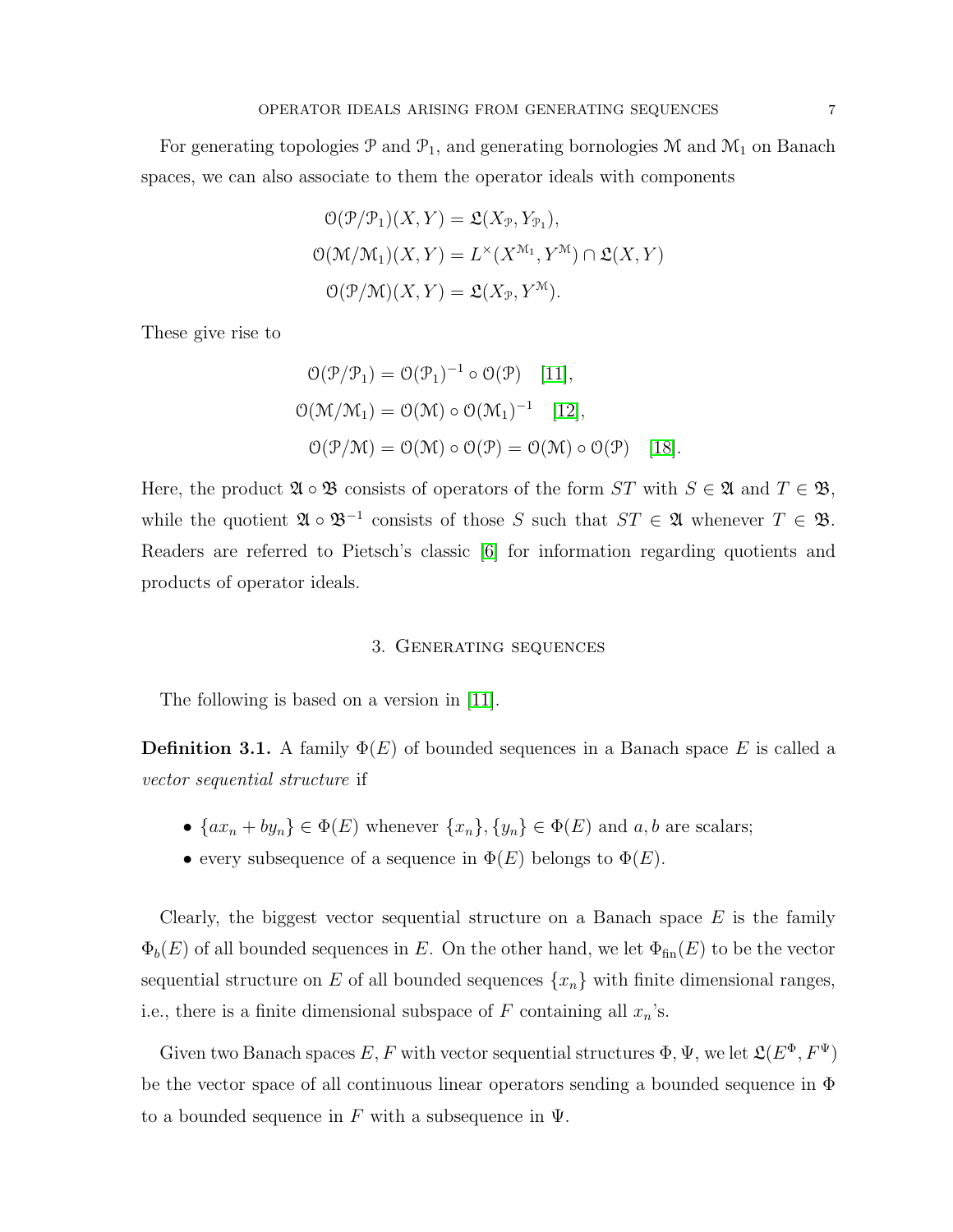For generating topologies  $\mathcal P$  and  $\mathcal P_1$ , and generating bornologies  $\mathcal M$  and  $\mathcal M_1$  on Banach spaces, we can also associate to them the operator ideals with components

$$
O(\mathcal{P}/\mathcal{P}_1)(X, Y) = \mathfrak{L}(X_{\mathcal{P}}, Y_{\mathcal{P}_1}),
$$
  
\n
$$
O(\mathcal{M}/\mathcal{M}_1)(X, Y) = L^{\times}(X^{\mathcal{M}_1}, Y^{\mathcal{M}}) \cap \mathfrak{L}(X, Y)
$$
  
\n
$$
O(\mathcal{P}/\mathcal{M})(X, Y) = \mathfrak{L}(X_{\mathcal{P}}, Y^{\mathcal{M}}).
$$

These give rise to

$$
O(\mathcal{P}/\mathcal{P}_1) = O(\mathcal{P}_1)^{-1} \circ O(\mathcal{P}) \quad [11],
$$
  
\n
$$
O(\mathcal{M}/\mathcal{M}_1) = O(\mathcal{M}) \circ O(\mathcal{M}_1)^{-1} \quad [12],
$$
  
\n
$$
O(\mathcal{P}/\mathcal{M}) = O(\mathcal{M}) \circ O(\mathcal{P}) = O(\mathcal{M}) \circ O(\mathcal{P}) \quad [18].
$$

Here, the product  $\mathfrak{A} \circ \mathfrak{B}$  consists of operators of the form  $ST$  with  $S \in \mathfrak{A}$  and  $T \in \mathfrak{B}$ , while the quotient  $\mathfrak{A} \circ \mathfrak{B}^{-1}$  consists of those S such that  $ST \in \mathfrak{A}$  whenever  $T \in \mathfrak{B}$ . Readers are referred to Pietsch's classic [\[6\]](#page-15-1) for information regarding quotients and products of operator ideals.

## 3. Generating sequences

The following is based on a version in [\[11\]](#page-15-4).

**Definition 3.1.** A family  $\Phi(E)$  of bounded sequences in a Banach space E is called a vector sequential structure if

- $\{ax_n + by_n\} \in \Phi(E)$  whenever  $\{x_n\}, \{y_n\} \in \Phi(E)$  and  $a, b$  are scalars;
- every subsequence of a sequence in  $\Phi(E)$  belongs to  $\Phi(E)$ .

Clearly, the biggest vector sequential structure on a Banach space  $E$  is the family  $\Phi_b(E)$  of all bounded sequences in E. On the other hand, we let  $\Phi_{fin}(E)$  to be the vector sequential structure on E of all bounded sequences  $\{x_n\}$  with finite dimensional ranges, i.e., there is a finite dimensional subspace of F containing all  $x_n$ 's.

Given two Banach spaces  $E, F$  with vector sequential structures  $\Phi, \Psi$ , we let  $\mathfrak{L}(E^\Phi, F^\Psi)$ be the vector space of all continuous linear operators sending a bounded sequence in Φ to a bounded sequence in F with a subsequence in  $\Psi$ .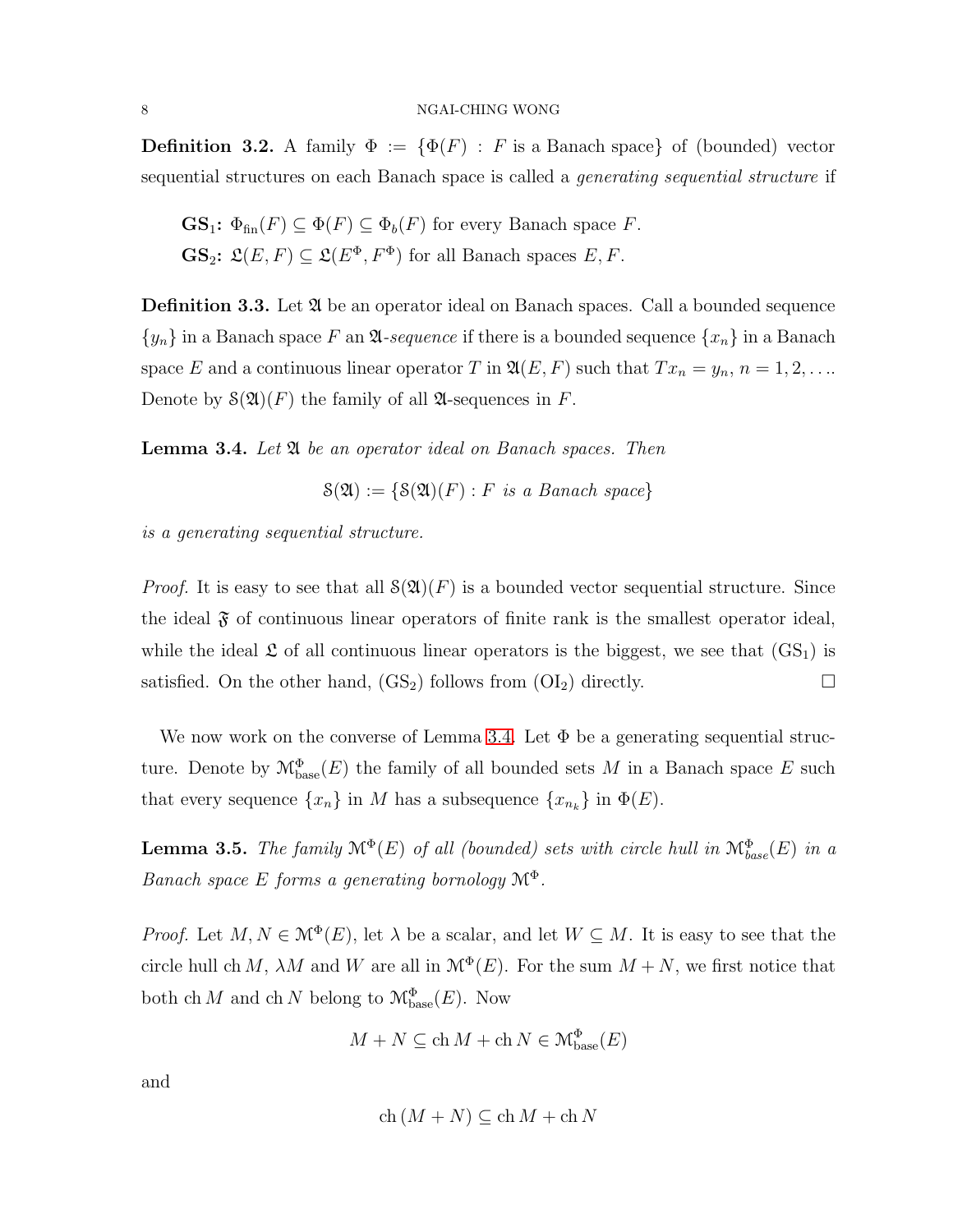**Definition 3.2.** A family  $\Phi := {\Phi(F) : F \text{ is a Banach space}}$  of (bounded) vector sequential structures on each Banach space is called a generating sequential structure if

**GS**<sub>1</sub>: 
$$
\Phi_{fin}(F) \subseteq \Phi(F) \subseteq \Phi_b(F)
$$
 for every Banach space *F*.  
**GS**<sub>2</sub>:  $\mathfrak{L}(E, F) \subseteq \mathfrak{L}(E^{\Phi}, F^{\Phi})$  for all Banach spaces *E*, *F*.

**Definition 3.3.** Let  $\mathfrak{A}$  be an operator ideal on Banach spaces. Call a bounded sequence  ${y_n}$  in a Banach space F an  $\mathfrak A$ -sequence if there is a bounded sequence  ${x_n}$  in a Banach space E and a continuous linear operator T in  $\mathfrak{A}(E, F)$  such that  $Tx_n = y_n$ ,  $n = 1, 2, \ldots$ Denote by  $\mathcal{S}(\mathfrak{A})(F)$  the family of all  $\mathfrak{A}$ -sequences in F.

<span id="page-7-0"></span>**Lemma 3.4.** Let  $\mathfrak{A}$  be an operator ideal on Banach spaces. Then

$$
\mathcal{S}(\mathfrak{A}) := \{ \mathcal{S}(\mathfrak{A})(F) : F \text{ is a Banach space} \}
$$

is a generating sequential structure.

*Proof.* It is easy to see that all  $\mathcal{S}(\mathfrak{A})(F)$  is a bounded vector sequential structure. Since the ideal  $\mathfrak F$  of continuous linear operators of finite rank is the smallest operator ideal, while the ideal  $\mathfrak L$  of all continuous linear operators is the biggest, we see that  $(GS_1)$  is satisfied. On the other hand,  $(GS_2)$  follows from  $(OI_2)$  directly.

We now work on the converse of Lemma [3.4.](#page-7-0) Let  $\Phi$  be a generating sequential structure. Denote by  $\mathcal{M}_{\text{base}}^{\Phi}(E)$  the family of all bounded sets M in a Banach space E such that every sequence  $\{x_n\}$  in M has a subsequence  $\{x_{n_k}\}$  in  $\Phi(E)$ .

<span id="page-7-1"></span>**Lemma 3.5.** The family  $\mathcal{M}^{\Phi}(E)$  of all (bounded) sets with circle hull in  $\mathcal{M}_{base}^{\Phi}(E)$  in a Banach space E forms a generating bornology  $\mathcal{M}^{\Phi}$ .

*Proof.* Let  $M, N \in \mathcal{M}^{\Phi}(E)$ , let  $\lambda$  be a scalar, and let  $W \subseteq M$ . It is easy to see that the circle hull ch M,  $\lambda M$  and W are all in  $\mathcal{M}^{\Phi}(E)$ . For the sum  $M + N$ , we first notice that both ch M and ch N belong to  $\mathcal{M}_{\text{base}}^{\Phi}(E)$ . Now

$$
M+N\subseteq \mathop{\rm ch}\nolimits M+\mathop{\rm ch}\nolimits N\in\mathop{\mathcal{M}^{\Phi}_{\rm base}}\nolimits(E)
$$

and

$$
ch (M + N) \subseteq ch M + ch N
$$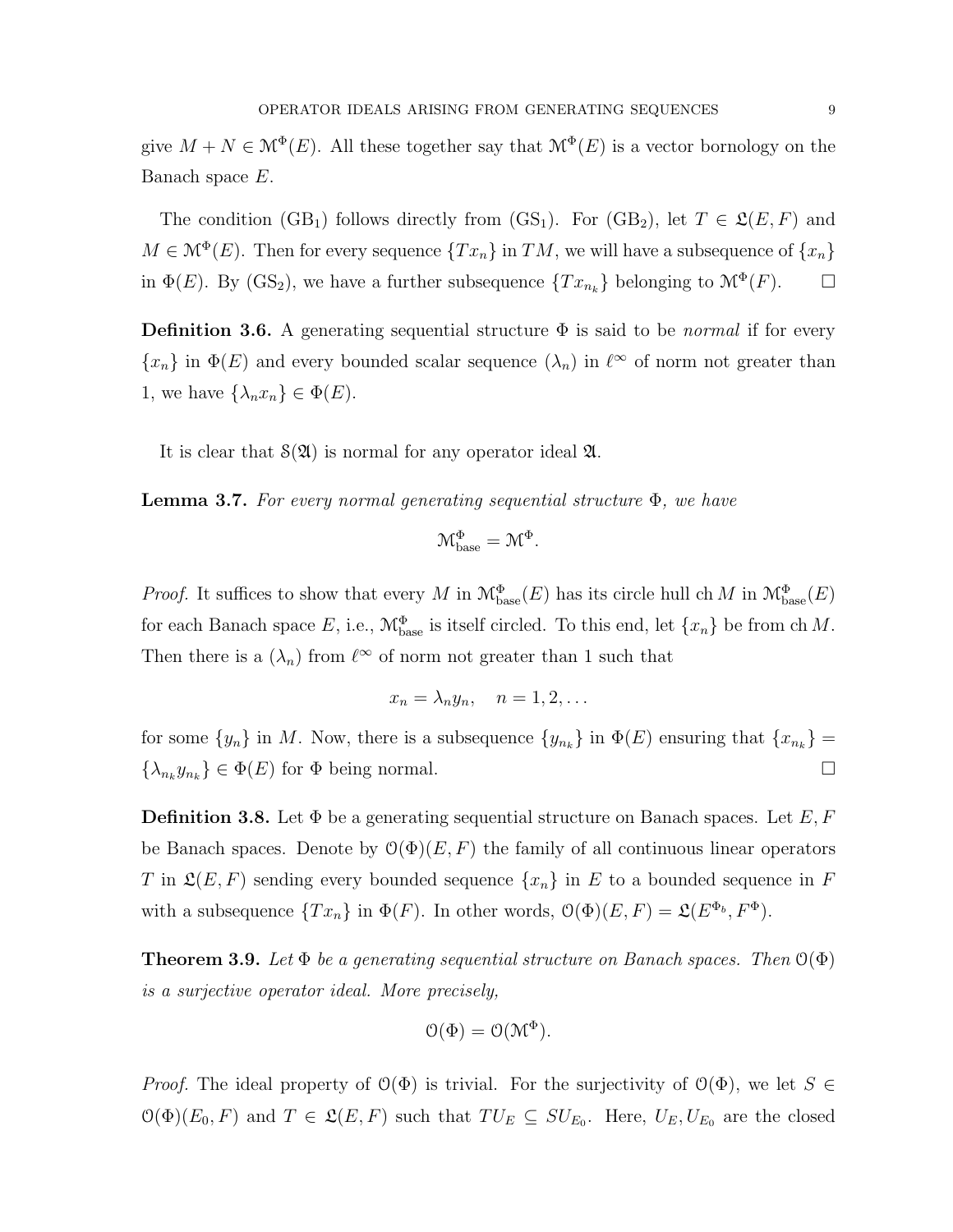give  $M + N \in \mathcal{M}^{\Phi}(E)$ . All these together say that  $\mathcal{M}^{\Phi}(E)$  is a vector bornology on the Banach space E.

The condition (GB<sub>1</sub>) follows directly from (GS<sub>1</sub>). For (GB<sub>2</sub>), let  $T \in \mathfrak{L}(E, F)$  and  $M \in \mathcal{M}^{\Phi}(E)$ . Then for every sequence  $\{Tx_n\}$  in  $TM$ , we will have a subsequence of  $\{x_n\}$ in  $\Phi(E)$ . By (GS<sub>2</sub>), we have a further subsequence  $\{Tx_{n_k}\}\$  belonging to  $\mathcal{M}^{\Phi}(F)$ .  $\Box$ 

**Definition 3.6.** A generating sequential structure  $\Phi$  is said to be *normal* if for every  $\{x_n\}$  in  $\Phi(E)$  and every bounded scalar sequence  $(\lambda_n)$  in  $\ell^{\infty}$  of norm not greater than 1, we have  $\{\lambda_n x_n\} \in \Phi(E)$ .

It is clear that  $\mathcal{S}(\mathfrak{A})$  is normal for any operator ideal  $\mathfrak{A}$ .

<span id="page-8-0"></span>**Lemma 3.7.** For every normal generating sequential structure  $\Phi$ , we have

$$
\mathcal{M}_{\text{base}}^{\Phi} = \mathcal{M}^{\Phi}.
$$

*Proof.* It suffices to show that every M in  $\mathcal{M}_{base}^{\Phi}(E)$  has its circle hull ch M in  $\mathcal{M}_{base}^{\Phi}(E)$ for each Banach space E, i.e.,  $\mathcal{M}_{base}^{\Phi}$  is itself circled. To this end, let  $\{x_n\}$  be from ch M. Then there is a  $(\lambda_n)$  from  $\ell^{\infty}$  of norm not greater than 1 such that

$$
x_n = \lambda_n y_n, \quad n = 1, 2, \dots
$$

for some  $\{y_n\}$  in M. Now, there is a subsequence  $\{y_{n_k}\}\$ in  $\Phi(E)$  ensuring that  $\{x_{n_k}\}$  =  ${\lambda_{n_k}} y_{n_k} \in \Phi(E)$  for  $\Phi$  being normal.

**Definition 3.8.** Let  $\Phi$  be a generating sequential structure on Banach spaces. Let E, F be Banach spaces. Denote by  $\mathcal{O}(\Phi)(E, F)$  the family of all continuous linear operators T in  $\mathfrak{L}(E, F)$  sending every bounded sequence  $\{x_n\}$  in E to a bounded sequence in F with a subsequence  $\{Tx_n\}$  in  $\Phi(F)$ . In other words,  $\mathcal{O}(\Phi)(E, F) = \mathfrak{L}(E^{\Phi_b}, F^{\Phi})$ .

<span id="page-8-1"></span>**Theorem 3.9.** Let  $\Phi$  be a generating sequential structure on Banach spaces. Then  $\mathcal{O}(\Phi)$ is a surjective operator ideal. More precisely,

$$
\mathcal{O}(\Phi) = \mathcal{O}(\mathcal{M}^{\Phi}).
$$

*Proof.* The ideal property of  $\mathcal{O}(\Phi)$  is trivial. For the surjectivity of  $\mathcal{O}(\Phi)$ , we let  $S \in$  $\mathcal{O}(\Phi)(E_0, F)$  and  $T \in \mathcal{L}(E, F)$  such that  $TU_E \subseteq SU_{E_0}$ . Here,  $U_E, U_{E_0}$  are the closed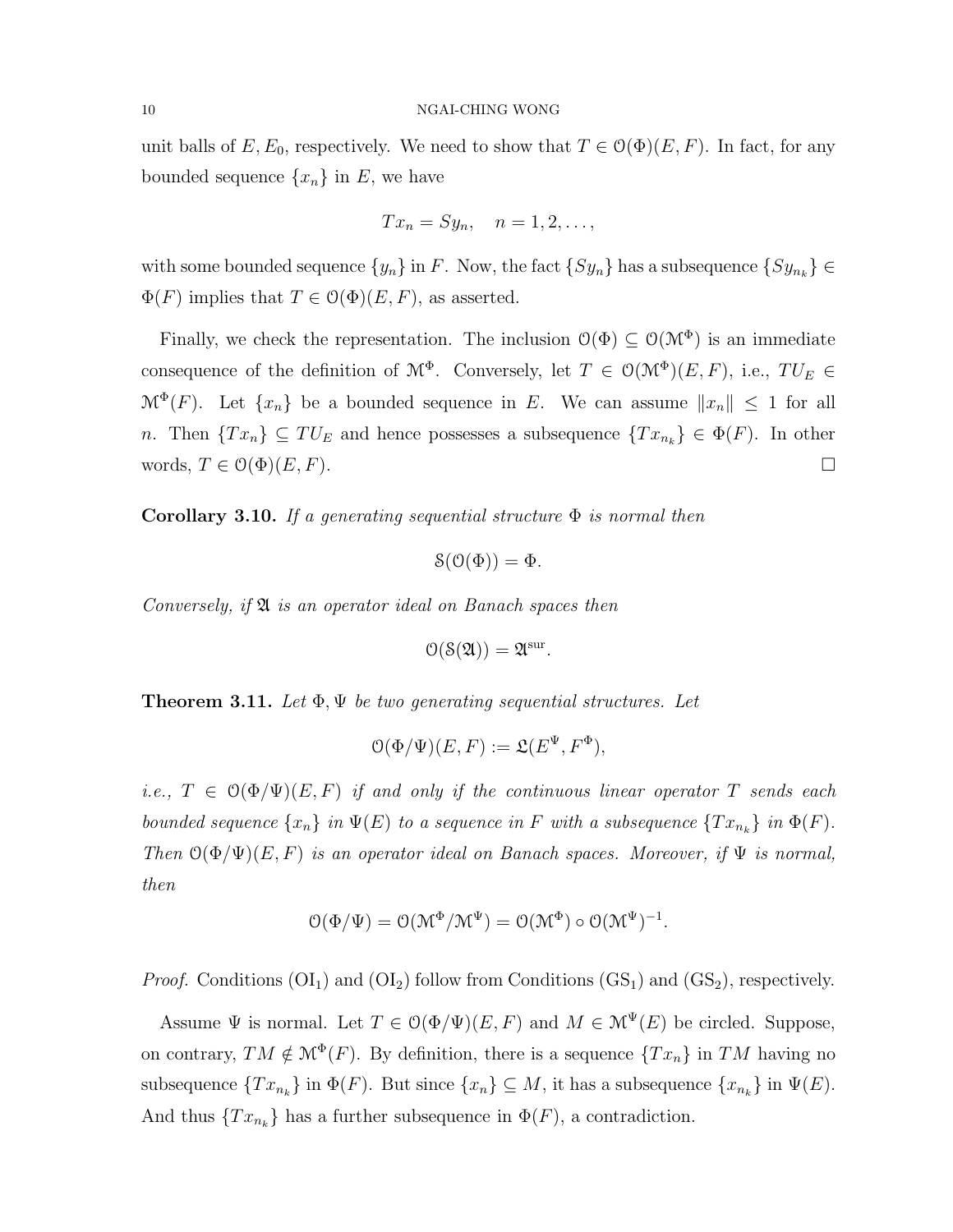unit balls of  $E, E_0$ , respectively. We need to show that  $T \in \mathcal{O}(\Phi)(E, F)$ . In fact, for any bounded sequence  $\{x_n\}$  in  $E$ , we have

$$
Tx_n = Sy_n, \quad n = 1, 2, \ldots,
$$

with some bounded sequence  $\{y_n\}$  in F. Now, the fact  $\{Sy_n\}$  has a subsequence  $\{Sy_{n_k}\}\in$  $\Phi(F)$  implies that  $T \in \mathcal{O}(\Phi)(E, F)$ , as asserted.

Finally, we check the representation. The inclusion  $\mathcal{O}(\Phi) \subseteq \mathcal{O}(\mathcal{M}^{\Phi})$  is an immediate consequence of the definition of  $\mathcal{M}^{\Phi}$ . Conversely, let  $T \in \mathcal{O}(\mathcal{M}^{\Phi})(E, F)$ , i.e.,  $TU_E \in$  $\mathcal{M}^{\Phi}(F)$ . Let  $\{x_n\}$  be a bounded sequence in E. We can assume  $||x_n|| \leq 1$  for all n. Then  ${Tx_n}\subseteq TU_E$  and hence possesses a subsequence  ${Tx_{n_k}}\in \Phi(F)$ . In other words,  $T \in \mathcal{O}(\Phi)(E, F)$ .

Corollary 3.10. If a generating sequential structure  $\Phi$  is normal then

$$
\mathcal{S}(\mathcal{O}(\Phi)) = \Phi.
$$

Conversely, if  $\mathfrak A$  is an operator ideal on Banach spaces then

$$
\mathcal{O}(\mathcal{S}(\mathfrak{A})) = \mathfrak{A}^{\text{sur}}.
$$

**Theorem 3.11.** Let  $\Phi$ ,  $\Psi$  be two generating sequential structures. Let

$$
\mathcal{O}(\Phi/\Psi)(E, F) := \mathfrak{L}(E^{\Psi}, F^{\Phi}),
$$

i.e.,  $T \in \mathcal{O}(\Phi/\Psi)(E, F)$  if and only if the continuous linear operator T sends each bounded sequence  $\{x_n\}$  in  $\Psi(E)$  to a sequence in F with a subsequence  $\{Tx_{n_k}\}$  in  $\Phi(F)$ . Then  $\mathcal{O}(\Phi/\Psi)(E, F)$  is an operator ideal on Banach spaces. Moreover, if  $\Psi$  is normal, then

$$
\mathcal{O}(\Phi/\Psi) = \mathcal{O}(\mathcal{M}^{\Phi}/\mathcal{M}^{\Psi}) = \mathcal{O}(\mathcal{M}^{\Phi}) \circ \mathcal{O}(\mathcal{M}^{\Psi})^{-1}.
$$

*Proof.* Conditions  $(OI_1)$  and  $(OI_2)$  follow from Conditions  $(GS_1)$  and  $(GS_2)$ , respectively.

Assume  $\Psi$  is normal. Let  $T \in \mathcal{O}(\Phi/\Psi)(E, F)$  and  $M \in \mathcal{M}^{\Psi}(E)$  be circled. Suppose, on contrary,  $TM \notin \mathcal{M}^{\Phi}(F)$ . By definition, there is a sequence  $\{Tx_n\}$  in TM having no subsequence  $\{Tx_{n_k}\}\$ in  $\Phi(F)$ . But since  $\{x_n\}\subseteq M$ , it has a subsequence  $\{x_{n_k}\}\$ in  $\Psi(E)$ . And thus  $\{Tx_{n_k}\}\$  has a further subsequence in  $\Phi(F)$ , a contradiction.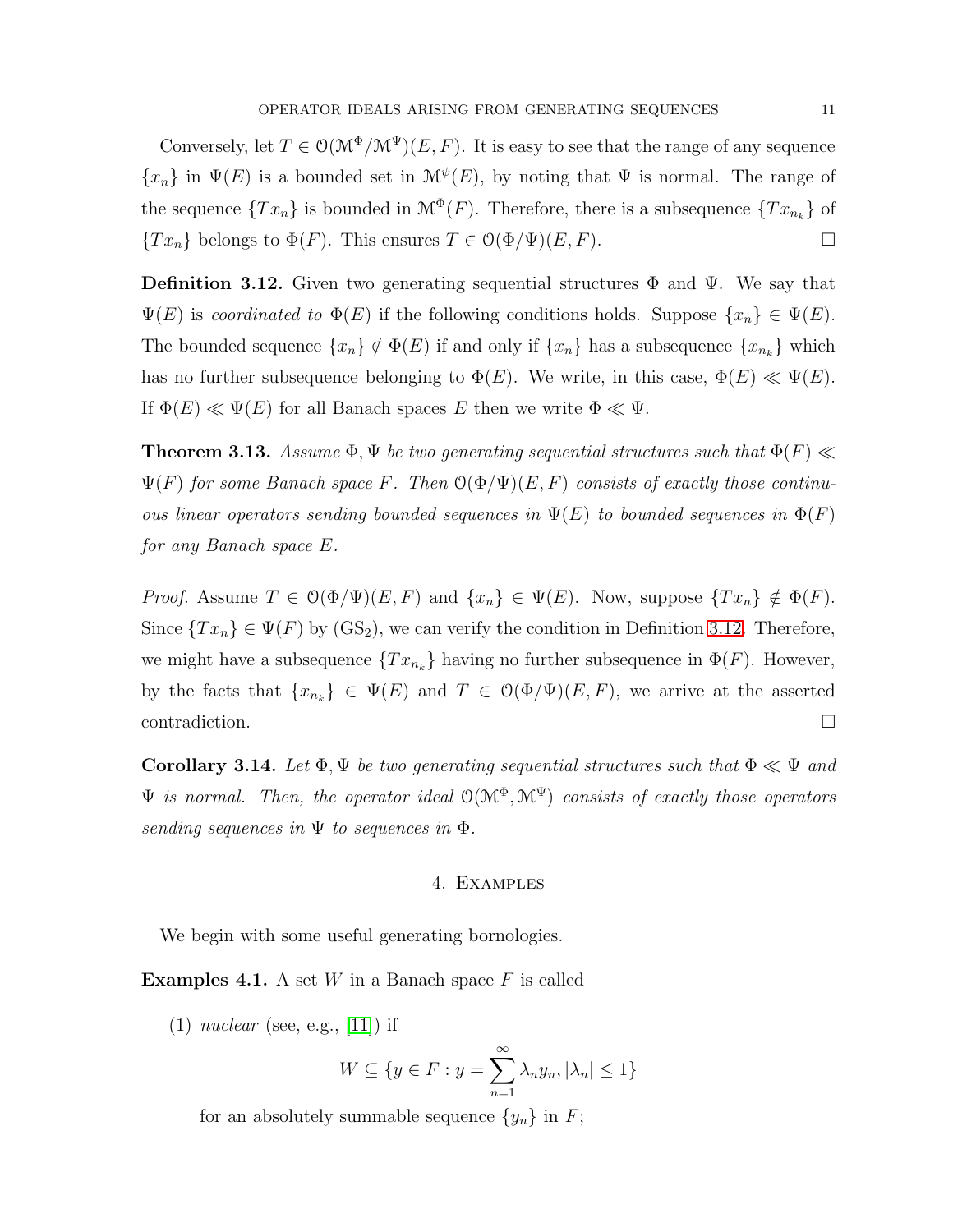Conversely, let  $T \in \mathcal{O}(\mathcal{M}^{\Phi}/\mathcal{M}^{\Psi})(E, F)$ . It is easy to see that the range of any sequence  $\{x_n\}$  in  $\Psi(E)$  is a bounded set in  $\mathcal{M}^{\psi}(E)$ , by noting that  $\Psi$  is normal. The range of the sequence  $\{Tx_n\}$  is bounded in  $\mathcal{M}^{\Phi}(F)$ . Therefore, there is a subsequence  $\{Tx_{n_k}\}$  of  ${T x<sub>n</sub>}$  belongs to  $\Phi(F)$ . This ensures  $T \in \mathcal{O}(\Phi/\Psi)(E, F)$ .

<span id="page-10-0"></span>**Definition 3.12.** Given two generating sequential structures  $\Phi$  and  $\Psi$ . We say that  $\Psi(E)$  is coordinated to  $\Phi(E)$  if the following conditions holds. Suppose  $\{x_n\} \in \Psi(E)$ . The bounded sequence  $\{x_n\} \notin \Phi(E)$  if and only if  $\{x_n\}$  has a subsequence  $\{x_{n_k}\}$  which has no further subsequence belonging to  $\Phi(E)$ . We write, in this case,  $\Phi(E) \ll \Psi(E)$ . If  $\Phi(E) \ll \Psi(E)$  for all Banach spaces E then we write  $\Phi \ll \Psi$ .

<span id="page-10-1"></span>**Theorem 3.13.** Assume  $\Phi$ ,  $\Psi$  be two generating sequential structures such that  $\Phi(F) \ll$  $\Psi(F)$  for some Banach space F. Then  $\mathcal{O}(\Phi/\Psi)(E,F)$  consists of exactly those continuous linear operators sending bounded sequences in  $\Psi(E)$  to bounded sequences in  $\Phi(F)$ for any Banach space E.

*Proof.* Assume  $T \in \mathcal{O}(\Phi/\Psi)(E, F)$  and  $\{x_n\} \in \Psi(E)$ . Now, suppose  $\{Tx_n\} \notin \Phi(F)$ . Since  $\{Tx_n\} \in \Psi(F)$  by  $(\text{GS}_2)$ , we can verify the condition in Definition [3.12.](#page-10-0) Therefore, we might have a subsequence  ${Tx_{n_k}}$  having no further subsequence in  $\Phi(F)$ . However, by the facts that  $\{x_{n_k}\}\in \Psi(E)$  and  $T \in \mathcal{O}(\Phi/\Psi)(E, F)$ , we arrive at the asserted  $\Box$ contradiction.

Corollary 3.14. Let  $\Phi, \Psi$  be two generating sequential structures such that  $\Phi \ll \Psi$  and  $\Psi$  is normal. Then, the operator ideal  $O(M^{\Phi}, M^{\Psi})$  consists of exactly those operators sending sequences in  $\Psi$  to sequences in  $\Phi$ .

# 4. Examples

We begin with some useful generating bornologies.

**Examples 4.1.** A set W in a Banach space F is called

 $(1)$  nuclear (see, e.g., [\[11\]](#page-15-4)) if

$$
W \subseteq \{ y \in F : y = \sum_{n=1}^{\infty} \lambda_n y_n, |\lambda_n| \le 1 \}
$$

for an absolutely summable sequence  $\{y_n\}$  in F;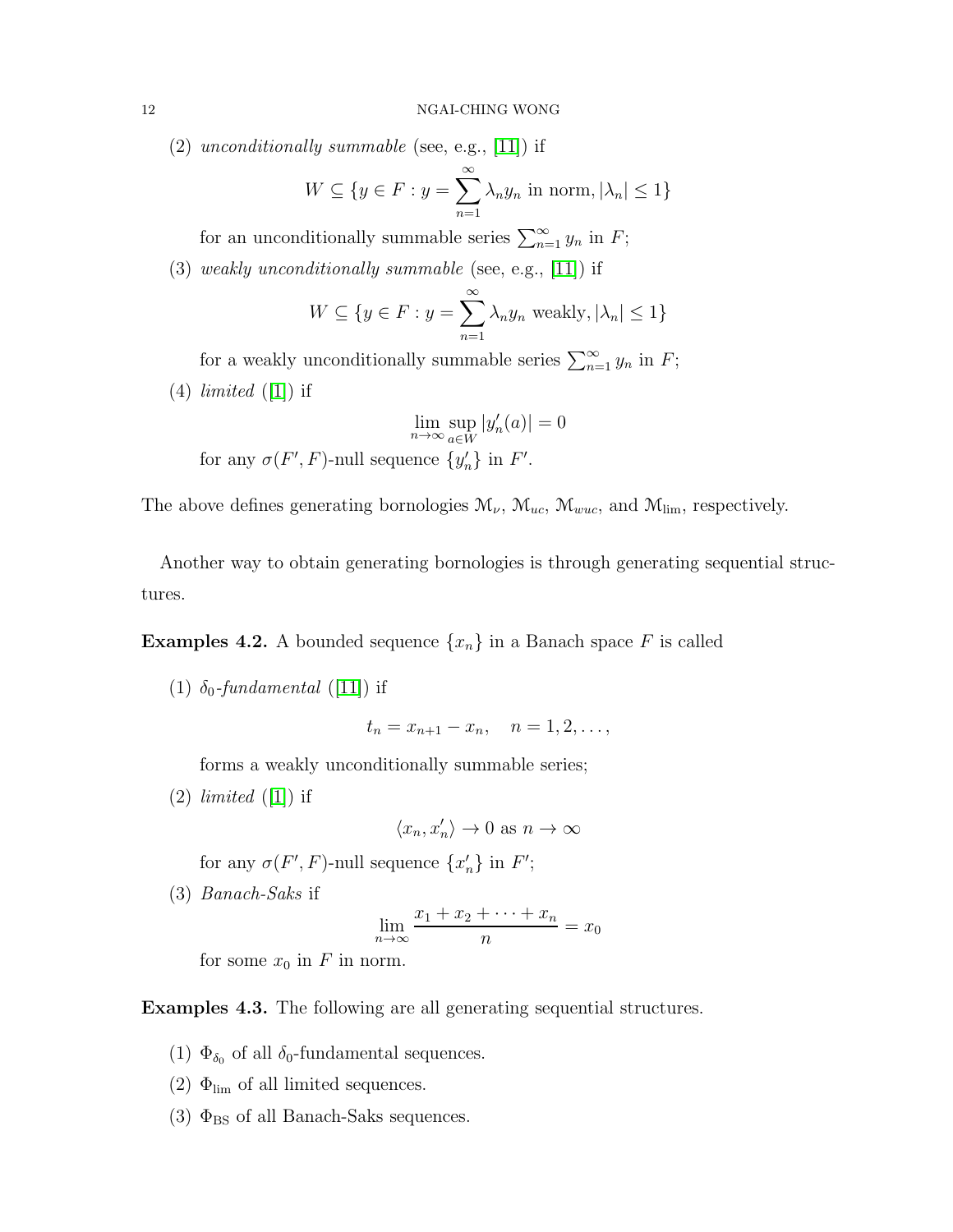$(2)$  unconditionally summable (see, e.g., [\[11\]](#page-15-4)) if

$$
W \subseteq \{ y \in F : y = \sum_{n=1}^{\infty} \lambda_n y_n \text{ in norm}, |\lambda_n| \le 1 \}
$$

for an unconditionally summable series  $\sum_{n=1}^{\infty} y_n$  in F;

(3) weakly unconditionally summable (see, e.g., [\[11\]](#page-15-4)) if

$$
W \subseteq \{ y \in F : y = \sum_{n=1}^{\infty} \lambda_n y_n \text{ weakly}, |\lambda_n| \le 1 \}
$$

for a weakly unconditionally summable series  $\sum_{n=1}^{\infty} y_n$  in F;  $(4)$  *limited*  $([1])$  $([1])$  $([1])$  if

$$
\lim_{n \to \infty} \sup_{a \in W} |y'_n(a)| = 0
$$
  
for any  $\sigma(F', F)$ -null sequence  $\{y'_n\}$  in  $F'$ .

The above defines generating bornologies  $\mathcal{M}_{\nu}$ ,  $\mathcal{M}_{uc}$ ,  $\mathcal{M}_{wuc}$ , and  $\mathcal{M}_{\text{lim}}$ , respectively.

Another way to obtain generating bornologies is through generating sequential structures.

**Examples 4.2.** A bounded sequence  $\{x_n\}$  in a Banach space F is called

(1)  $\delta_0$ -fundamental ([\[11\]](#page-15-4)) if

$$
t_n = x_{n+1} - x_n, \quad n = 1, 2, \dots,
$$

forms a weakly unconditionally summable series;

 $(2)$  *limited*  $([1])$  $([1])$  $([1])$  if

$$
\langle x_n,x_n'\rangle\to 0 \text{ as } n\to\infty
$$

for any  $\sigma(F', F)$ -null sequence  $\{x'_n\}$  in  $F'$ ;

(3) Banach-Saks if

$$
\lim_{n \to \infty} \frac{x_1 + x_2 + \dots + x_n}{n} = x_0
$$

for some  $x_0$  in F in norm.

Examples 4.3. The following are all generating sequential structures.

- (1)  $\Phi_{\delta_0}$  of all  $\delta_0$ -fundamental sequences.
- (2)  $\Phi_{\text{lim}}$  of all limited sequences.
- (3)  $\Phi_{\rm BS}$  of all Banach-Saks sequences.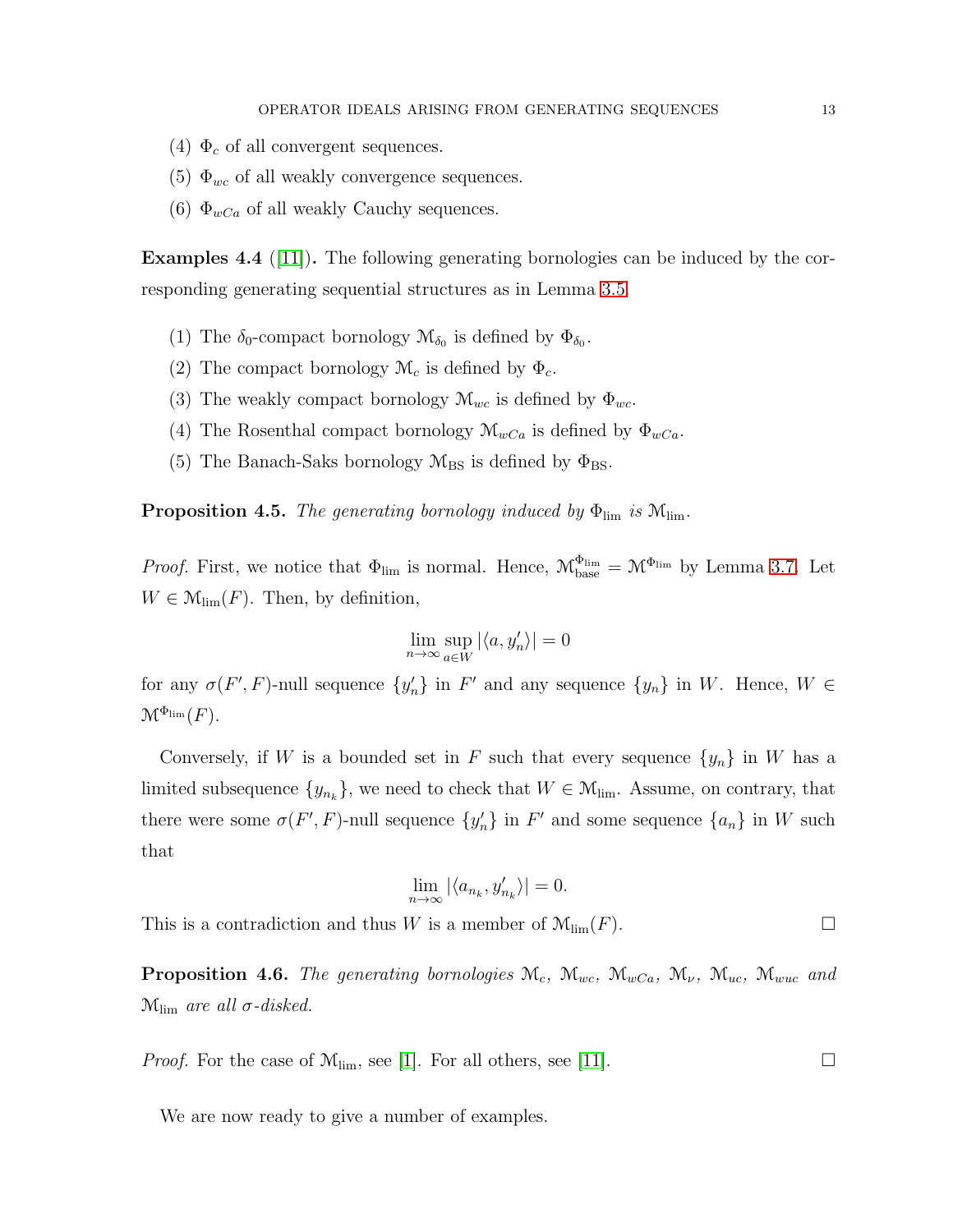- (4)  $\Phi_c$  of all convergent sequences.
- (5)  $\Phi_{wc}$  of all weakly convergence sequences.
- (6)  $\Phi_{wCa}$  of all weakly Cauchy sequences.

**Examples 4.4** ([\[11\]](#page-15-4)). The following generating bornologies can be induced by the corresponding generating sequential structures as in Lemma [3.5.](#page-7-1)

- (1) The  $\delta_0$ -compact bornology  $\mathcal{M}_{\delta_0}$  is defined by  $\Phi_{\delta_0}$ .
- (2) The compact bornology  $\mathcal{M}_c$  is defined by  $\Phi_c$ .
- (3) The weakly compact bornology  $\mathcal{M}_{wc}$  is defined by  $\Phi_{wc}$ .
- (4) The Rosenthal compact bornology  $\mathcal{M}_{wCa}$  is defined by  $\Phi_{wCa}$ .
- (5) The Banach-Saks bornology  $M_{BS}$  is defined by  $\Phi_{BS}$ .

**Proposition 4.5.** The generating bornology induced by  $\Phi_{\text{lim}}$  is  $M_{\text{lim}}$ .

*Proof.* First, we notice that  $\Phi_{\text{lim}}$  is normal. Hence,  $\mathcal{M}_{\text{base}}^{\Phi_{\text{lim}}} = \mathcal{M}^{\Phi_{\text{lim}}}$  by Lemma [3.7.](#page-8-0) Let  $W \in \mathcal{M}_{\text{lim}}(F)$ . Then, by definition,

$$
\lim_{n \to \infty} \sup_{a \in W} |\langle a, y'_n \rangle| = 0
$$

for any  $\sigma(F', F)$ -null sequence  $\{y'_n\}$  in  $F'$  and any sequence  $\{y_n\}$  in W. Hence,  $W \in$  $\mathcal{M}^{\Phi_{\mathrm{lim}}}(F).$ 

Conversely, if W is a bounded set in F such that every sequence  $\{y_n\}$  in W has a limited subsequence  $\{y_{n_k}\}\$ , we need to check that  $W \in \mathcal{M}_{\text{lim}}$ . Assume, on contrary, that there were some  $\sigma(F', F)$ -null sequence  $\{y'_n\}$  in  $F'$  and some sequence  $\{a_n\}$  in W such that

$$
\lim_{n \to \infty} |\langle a_{n_k}, y'_{n_k} \rangle| = 0.
$$

This is a contradiction and thus W is a member of  $\mathcal{M}_{\text{lim}}(F)$ .

**Proposition 4.6.** The generating bornologies  $M_c$ ,  $M_{wc}$ ,  $M_{wc}$ ,  $M_{w}$ ,  $M_{wc}$ ,  $M_{wuc}$  and  $\mathcal{M}_{\text{lim}}$  are all  $\sigma$ -disked.

*Proof.* For the case of  $\mathcal{M}_{\text{lim}}$ , see [\[1\]](#page-15-12). For all others, see [\[11\]](#page-15-4).

We are now ready to give a number of examples.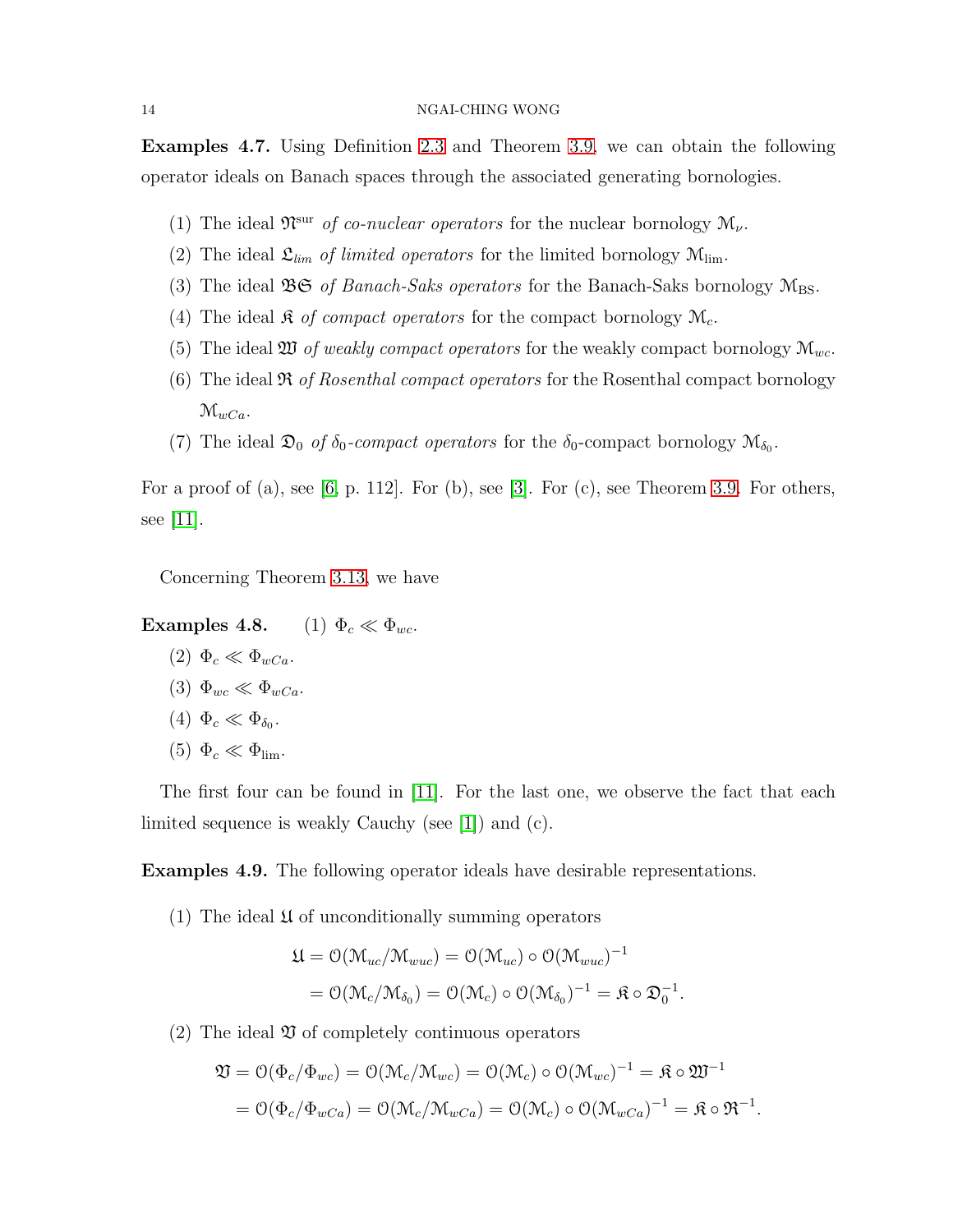Examples 4.7. Using Definition [2.3](#page-3-0) and Theorem [3.9,](#page-8-1) we can obtain the following operator ideals on Banach spaces through the associated generating bornologies.

- (1) The ideal  $\mathfrak{N}^{\text{sur}}$  of co-nuclear operators for the nuclear bornology  $\mathcal{M}_{\nu}$ .
- (2) The ideal  $\mathfrak{L}_{\text{lim}}$  of limited operators for the limited bornology  $\mathfrak{M}_{\text{lim}}$ .
- (3) The ideal  $\mathfrak{BS}$  of Banach-Saks operators for the Banach-Saks bornology  $\mathcal{M}_{BS}$ .
- (4) The ideal  $\mathfrak K$  of compact operators for the compact bornology  $\mathfrak M_c$ .
- (5) The ideal  $\mathfrak W$  of weakly compact operators for the weakly compact bornology  $\mathfrak M_{wc}$ .
- (6) The ideal  $\Re$  of Rosenthal compact operators for the Rosenthal compact bornology  $\mathcal{M}_{wCa}$ .
- (7) The ideal  $\mathfrak{D}_0$  of  $\delta_0$ -compact operators for the  $\delta_0$ -compact bornology  $\mathcal{M}_{\delta_0}$ .

For a proof of (a), see  $[6, p. 112]$ . For  $(b)$ , see  $[3]$ . For  $(c)$ , see Theorem [3.9.](#page-8-1) For others, see [\[11\]](#page-15-4).

Concerning Theorem [3.13,](#page-10-1) we have

Examples 4.8. (1)  $\Phi_c \ll \Phi_{wc}$ .

 $(2) \Phi_c \ll \Phi_{wCa}.$ (3)  $\Phi_{wc} \ll \Phi_{wCa}$ . (4)  $\Phi_c \ll \Phi_{\delta_0}$ . (5)  $\Phi_c \ll \Phi_{\rm lim}$ .

The first four can be found in  $|11|$ . For the last one, we observe the fact that each limited sequence is weakly Cauchy (see [\[1\]](#page-15-12)) and (c).

Examples 4.9. The following operator ideals have desirable representations.

(1) The ideal  $\mathfrak U$  of unconditionally summing operators

$$
\mathfrak{U} = \mathcal{O}(\mathcal{M}_{uc}/\mathcal{M}_{wuc}) = \mathcal{O}(\mathcal{M}_{uc}) \circ \mathcal{O}(\mathcal{M}_{wuc})^{-1}
$$

$$
= \mathcal{O}(\mathcal{M}_c/\mathcal{M}_{\delta_0}) = \mathcal{O}(\mathcal{M}_c) \circ \mathcal{O}(\mathcal{M}_{\delta_0})^{-1} = \mathfrak{K} \circ \mathfrak{D}_0^{-1}
$$

.

(2) The ideal  $\mathfrak V$  of completely continuous operators

$$
\mathfrak{V} = \mathcal{O}(\Phi_c/\Phi_{wc}) = \mathcal{O}(\mathcal{M}_c/\mathcal{M}_{wc}) = \mathcal{O}(\mathcal{M}_c) \circ \mathcal{O}(\mathcal{M}_{wc})^{-1} = \mathfrak{K} \circ \mathfrak{W}^{-1}
$$
  
=  $\mathcal{O}(\Phi_c/\Phi_{wCa}) = \mathcal{O}(\mathcal{M}_c/\mathcal{M}_{wCa}) = \mathcal{O}(\mathcal{M}_c) \circ \mathcal{O}(\mathcal{M}_{wCa})^{-1} = \mathfrak{K} \circ \mathfrak{R}^{-1}.$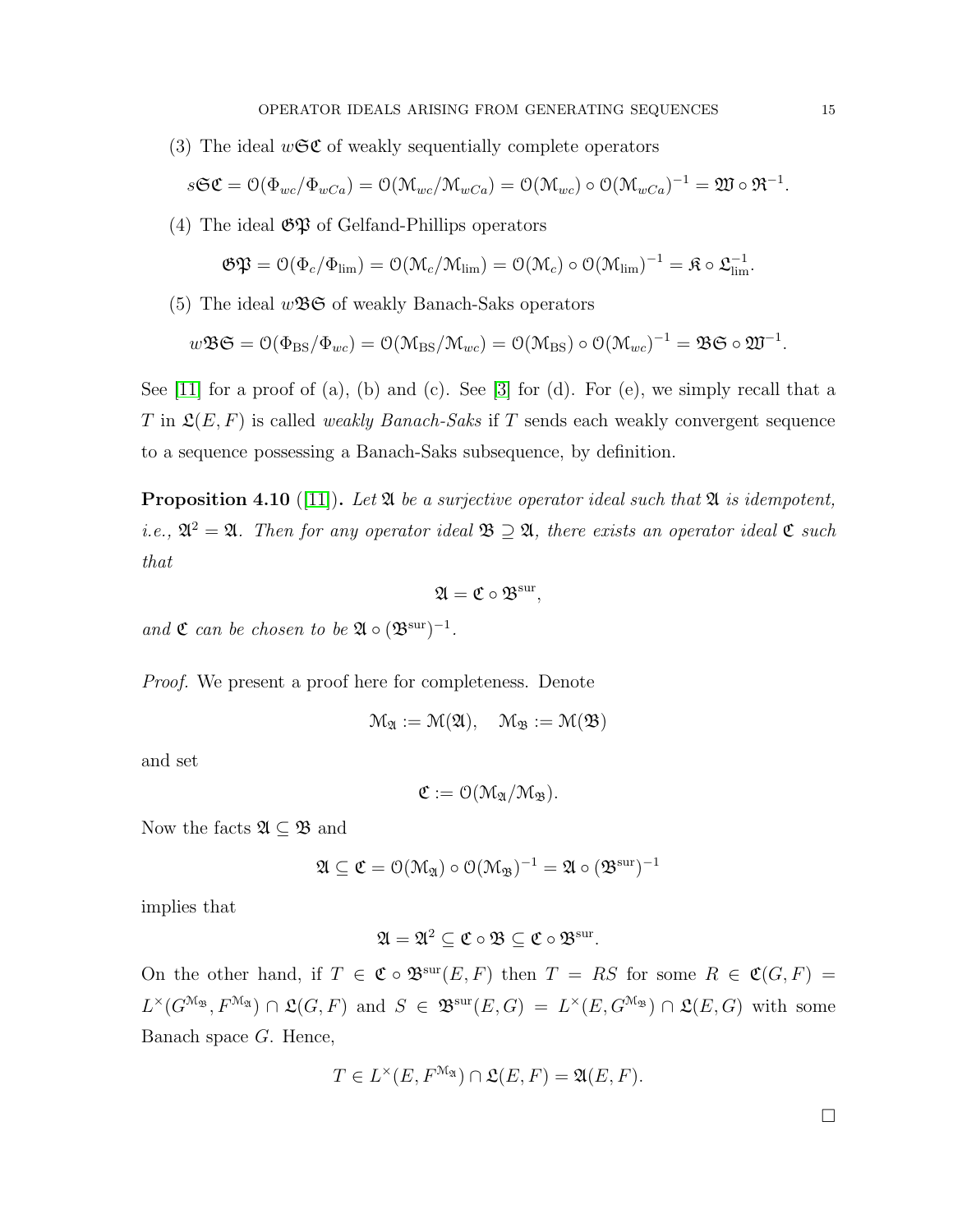(3) The ideal  $w\mathfrak{S}\mathfrak{C}$  of weakly sequentially complete operators

$$
s\mathfrak{S}\mathfrak{C}=\mathcal{O}(\Phi_{wc}/\Phi_{wCa})=\mathcal{O}(\mathcal{M}_{wc}/\mathcal{M}_{wCa})=\mathcal{O}(\mathcal{M}_{wc})\circ\mathcal{O}(\mathcal{M}_{wCa})^{-1}=\mathfrak{W}\circ\mathfrak{R}^{-1}.
$$

(4) The ideal  $\mathfrak{GP}$  of Gelfand-Phillips operators

$$
\mathfrak{GP} = \mathcal{O}(\Phi_c/\Phi_{\text{lim}}) = \mathcal{O}(\mathcal{M}_c/\mathcal{M}_{\text{lim}}) = \mathcal{O}(\mathcal{M}_c) \circ \mathcal{O}(\mathcal{M}_{\text{lim}})^{-1} = \mathfrak{K} \circ \mathfrak{L}_{\text{lim}}^{-1}.
$$

(5) The ideal  $w\mathfrak{B} \mathfrak{S}$  of weakly Banach-Saks operators

$$
w\mathfrak{B}\mathfrak{S}=\mathcal{O}(\Phi_{\rm BS}/\Phi_{wc})=\mathcal{O}(\mathfrak{M}_{\rm BS}/\mathfrak{M}_{wc})=\mathcal{O}(\mathfrak{M}_{\rm BS})\circ\mathcal{O}(\mathfrak{M}_{wc})^{-1}=\mathfrak{B}\mathfrak{S}\circ\mathfrak{W}^{-1}.
$$

See  $[11]$  for a proof of (a), (b) and (c). See  $[3]$  for (d). For (e), we simply recall that a T in  $\mathfrak{L}(E, F)$  is called *weakly Banach-Saks* if T sends each weakly convergent sequence to a sequence possessing a Banach-Saks subsequence, by definition.

**Proposition 4.10** ([\[11\]](#page-15-4)). Let  $\mathfrak{A}$  be a surjective operator ideal such that  $\mathfrak{A}$  is idempotent, i.e.,  $\mathfrak{A}^2 = \mathfrak{A}$ . Then for any operator ideal  $\mathfrak{B} \supseteq \mathfrak{A}$ , there exists an operator ideal  $\mathfrak{C}$  such that

$$
\mathfrak{A}=\mathfrak{C}\circ\mathfrak{B}^{\mathrm{sur}},
$$

and  $\mathfrak C$  can be chosen to be  $\mathfrak A \circ (\mathfrak B^{\rm sur})^{-1}$ .

Proof. We present a proof here for completeness. Denote

$$
\mathcal{M}_{\mathfrak{A}}:=\mathfrak{M}(\mathfrak{A}),\quad \mathcal{M}_{\mathfrak{B}}:=\mathfrak{M}(\mathfrak{B})
$$

and set

$$
\mathfrak{C}:=\mathfrak{O}(\mathfrak{M}_{\mathfrak{A}}/\mathfrak{M}_{\mathfrak{B}}).
$$

Now the facts  $\mathfrak{A} \subseteq \mathfrak{B}$  and

$$
\mathfrak{A}\subseteq \mathfrak{C}=\mathfrak{O}(\mathfrak{M}_{\mathfrak{A}})\circ \mathfrak{O}(\mathfrak{M}_{\mathfrak{B}})^{-1}=\mathfrak{A}\circ (\mathfrak{B}^{\mathrm{sur}})^{-1}
$$

implies that

$$
\mathfrak{A}=\mathfrak{A}^2\subseteq \mathfrak{C}\circ\mathfrak{B}\subseteq \mathfrak{C}\circ\mathfrak{B}^\mathrm{sur}.
$$

On the other hand, if  $T \in \mathfrak{C} \circ \mathfrak{B}^{\text{sur}}(E,F)$  then  $T = RS$  for some  $R \in \mathfrak{C}(G,F)$  $L^{\times}(G^{\mathcal{M}_{\mathfrak{B}}},F^{\mathcal{M}_{\mathfrak{A}}}) \cap \mathfrak{L}(G,F)$  and  $S \in \mathfrak{B}^{\text{sur}}(E,G) = L^{\times}(E,G^{\mathcal{M}_{\mathfrak{B}}}) \cap \mathfrak{L}(E,G)$  with some Banach space G. Hence,

$$
T \in L^{\times}(E, F^{\mathcal{M}_{\mathfrak{A}}}) \cap \mathfrak{L}(E, F) = \mathfrak{A}(E, F).
$$

 $\Box$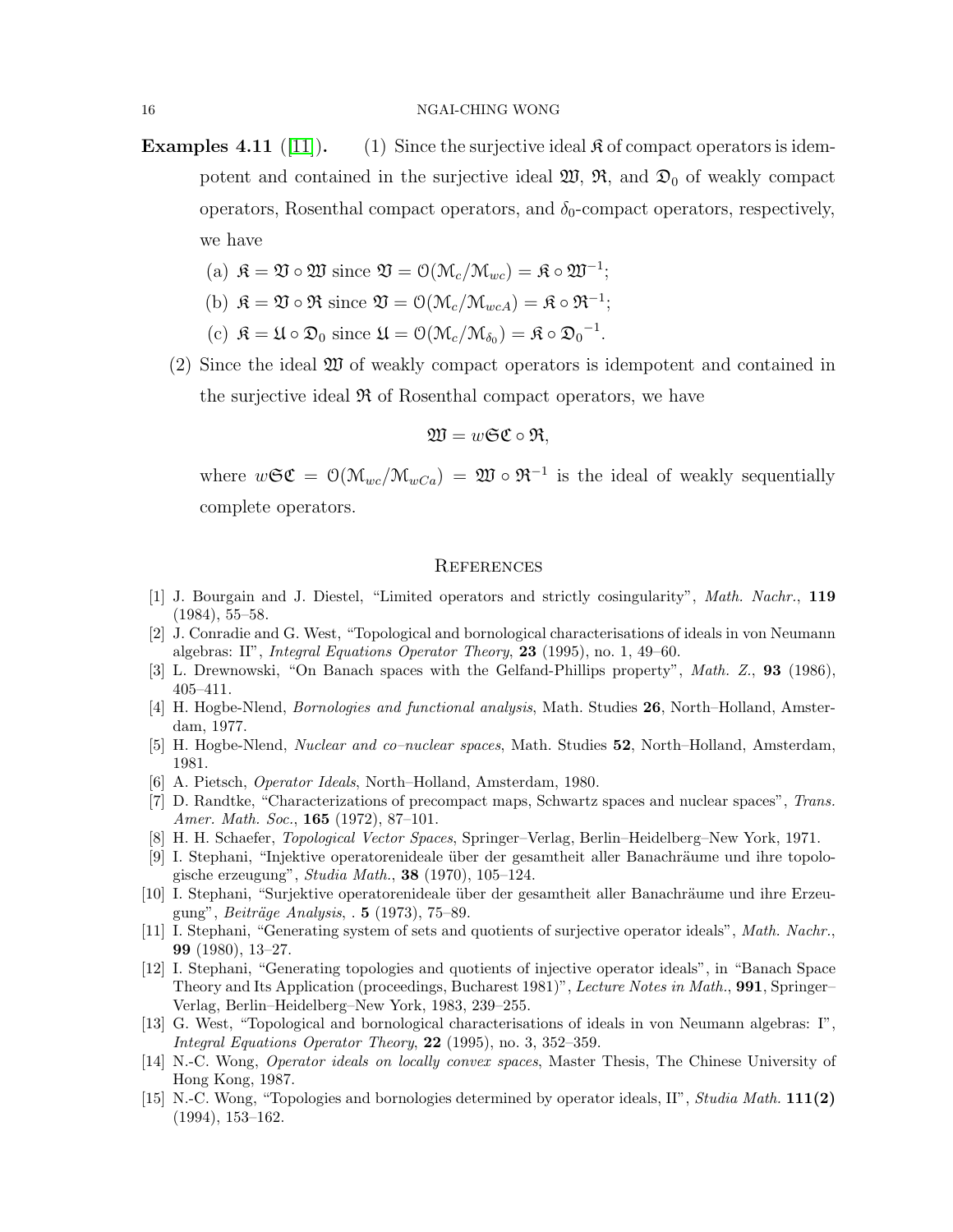- **Examples 4.11** ([\[11\]](#page-15-4)). (1) Since the surjective ideal  $\mathcal R$  of compact operators is idempotent and contained in the surjective ideal  $\mathfrak{W}, \mathfrak{R},$  and  $\mathfrak{D}_0$  of weakly compact operators, Rosenthal compact operators, and  $\delta_0$ -compact operators, respectively, we have
	- (a)  $\mathfrak{K} = \mathfrak{V} \circ \mathfrak{W}$  since  $\mathfrak{V} = \mathfrak{O}(\mathfrak{M}_c/\mathfrak{M}_{wc}) = \mathfrak{K} \circ \mathfrak{W}^{-1}$ ;
	- (b)  $\mathfrak{K} = \mathfrak{V} \circ \mathfrak{R}$  since  $\mathfrak{V} = \mathfrak{O}(\mathfrak{M}_c/\mathfrak{M}_{wcA}) = \mathfrak{K} \circ \mathfrak{R}^{-1}$ ;
	- (c)  $\mathfrak{K} = \mathfrak{U} \circ \mathfrak{D}_0$  since  $\mathfrak{U} = \mathfrak{O}(\mathfrak{M}_c/\mathfrak{M}_{\delta_0}) = \mathfrak{K} \circ {\mathfrak{D}_0}^{-1}$ .
	- (2) Since the ideal W of weakly compact operators is idempotent and contained in the surjective ideal  $\Re$  of Rosenthal compact operators, we have

$$
\mathfrak{W}=w\mathfrak{S}\mathfrak{C}\circ\mathfrak{R},
$$

where  $w\mathfrak{S}\mathfrak{C} = \mathcal{O}(\mathfrak{M}_{wc}/\mathfrak{M}_{wCa}) = \mathfrak{W} \circ \mathfrak{R}^{-1}$  is the ideal of weakly sequentially complete operators.

### **REFERENCES**

- <span id="page-15-12"></span>[1] J. Bourgain and J. Diestel, "Limited operators and strictly cosingularity", Math. Nachr., 119 (1984), 55–58.
- <span id="page-15-3"></span>[2] J. Conradie and G. West, "Topological and bornological characterisations of ideals in von Neumann algebras: II", *Integral Equations Operator Theory*, **23** (1995), no. 1, 49–60.
- <span id="page-15-13"></span><span id="page-15-6"></span>[3] L. Drewnowski, "On Banach spaces with the Gelfand-Phillips property", *Math. Z.*, 93 (1986), 405–411.
- [4] H. Hogbe-Nlend, *Bornologies and functional analysis*, Math. Studies 26, North–Holland, Amsterdam, 1977.
- <span id="page-15-9"></span><span id="page-15-1"></span>[5] H. Hogbe-Nlend, Nuclear and co–nuclear spaces, Math. Studies 52, North–Holland, Amsterdam, 1981.
- <span id="page-15-7"></span>[6] A. Pietsch, Operator Ideals, North–Holland, Amsterdam, 1980.
- [7] D. Randtke, "Characterizations of precompact maps, Schwartz spaces and nuclear spaces", Trans. Amer. Math. Soc., **165** (1972), 87-101.
- <span id="page-15-10"></span><span id="page-15-8"></span>[8] H. H. Schaefer, Topological Vector Spaces, Springer–Verlag, Berlin–Heidelberg–New York, 1971.
- [9] I. Stephani, "Injektive operatorenideale über der gesamtheit aller Banachräume und ihre topologische erzeugung", Studia Math., 38 (1970), 105–124.
- <span id="page-15-11"></span>[10] I. Stephani, "Surjektive operatorenideale über der gesamtheit aller Banachräume und ihre Erzeugung", *Beiträge Analysis*,  $\cdot$  5 (1973), 75–89.
- <span id="page-15-4"></span>[11] I. Stephani, "Generating system of sets and quotients of surjective operator ideals", Math. Nachr., 99 (1980), 13–27.
- <span id="page-15-5"></span>[12] I. Stephani, "Generating topologies and quotients of injective operator ideals", in "Banach Space Theory and Its Application (proceedings, Bucharest 1981)", Lecture Notes in Math., 991, Springer– Verlag, Berlin–Heidelberg–New York, 1983, 239–255.
- <span id="page-15-2"></span>[13] G. West, "Topological and bornological characterisations of ideals in von Neumann algebras: I", Integral Equations Operator Theory,  $22$  (1995), no. 3, 352-359.
- [14] N.-C. Wong, Operator ideals on locally convex spaces, Master Thesis, The Chinese University of Hong Kong, 1987.
- <span id="page-15-0"></span>[15] N.-C. Wong, "Topologies and bornologies determined by operator ideals, II", Studia Math. 111(2) (1994), 153–162.